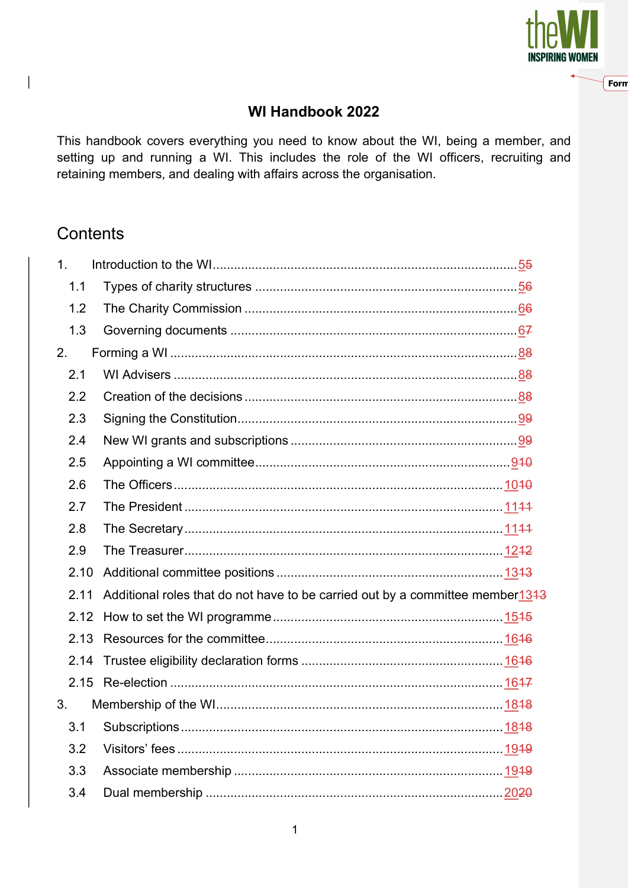

Forn

## WI Handbook 2022

This handbook covers everything you need to know about the WI, being a member, and setting up and running a WI. This includes the role of the WI officers, recruiting and retaining members, and dealing with affairs across the organisation.

## **Contents**

 $\begin{array}{c} \end{array}$ 

| 1 <sub>1</sub> |      |                                                                               |  |
|----------------|------|-------------------------------------------------------------------------------|--|
|                | 1.1  |                                                                               |  |
|                | 1.2  |                                                                               |  |
|                | 1.3  |                                                                               |  |
| 2.             |      |                                                                               |  |
|                | 2.1  |                                                                               |  |
|                | 2.2  |                                                                               |  |
|                | 2.3  |                                                                               |  |
|                | 2.4  |                                                                               |  |
|                | 2.5  |                                                                               |  |
|                | 2.6  |                                                                               |  |
|                | 2.7  |                                                                               |  |
|                | 2.8  |                                                                               |  |
|                | 2.9  |                                                                               |  |
|                | 2.10 |                                                                               |  |
|                | 2.11 | Additional roles that do not have to be carried out by a committee member1343 |  |
|                | 2.12 |                                                                               |  |
|                | 2.13 |                                                                               |  |
|                | 2.14 |                                                                               |  |
|                | 2.15 |                                                                               |  |
| 3.             |      |                                                                               |  |
|                | 3.1  |                                                                               |  |
|                | 3.2  |                                                                               |  |
|                | 3.3  |                                                                               |  |
|                | 3.4  |                                                                               |  |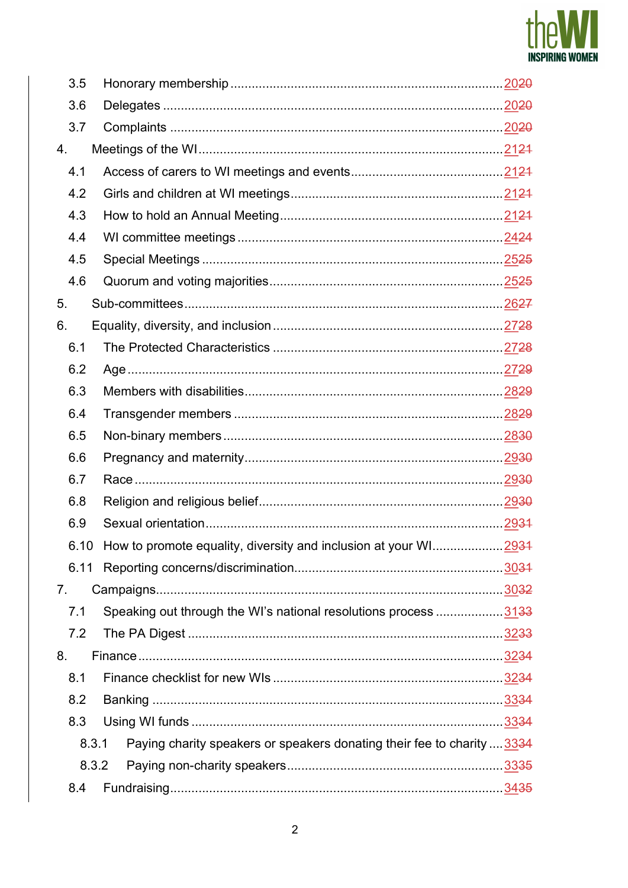

| 3.5   |                                                                         |  |
|-------|-------------------------------------------------------------------------|--|
| 3.6   |                                                                         |  |
| 3.7   |                                                                         |  |
| 4.    |                                                                         |  |
| 4.1   |                                                                         |  |
| 4.2   |                                                                         |  |
| 4.3   |                                                                         |  |
| 4.4   |                                                                         |  |
| 4.5   |                                                                         |  |
| 4.6   |                                                                         |  |
| 5.    |                                                                         |  |
| 6.    |                                                                         |  |
| 6.1   |                                                                         |  |
| 6.2   |                                                                         |  |
| 6.3   |                                                                         |  |
| 6.4   |                                                                         |  |
| 6.5   |                                                                         |  |
| 6.6   |                                                                         |  |
| 6.7   |                                                                         |  |
| 6.8   |                                                                         |  |
| 6.9   |                                                                         |  |
|       | 6.10 How to promote equality, diversity and inclusion at your WI2934    |  |
| 6.11  |                                                                         |  |
| 7.    |                                                                         |  |
| 7.1   | Speaking out through the WI's national resolutions process  3133        |  |
| 7.2   |                                                                         |  |
| 8.    |                                                                         |  |
| 8.1   |                                                                         |  |
| 8.2   |                                                                         |  |
| 8.3   |                                                                         |  |
| 8.3.1 | Paying charity speakers or speakers donating their fee to charity  3334 |  |
| 8.3.2 |                                                                         |  |
| 8.4   |                                                                         |  |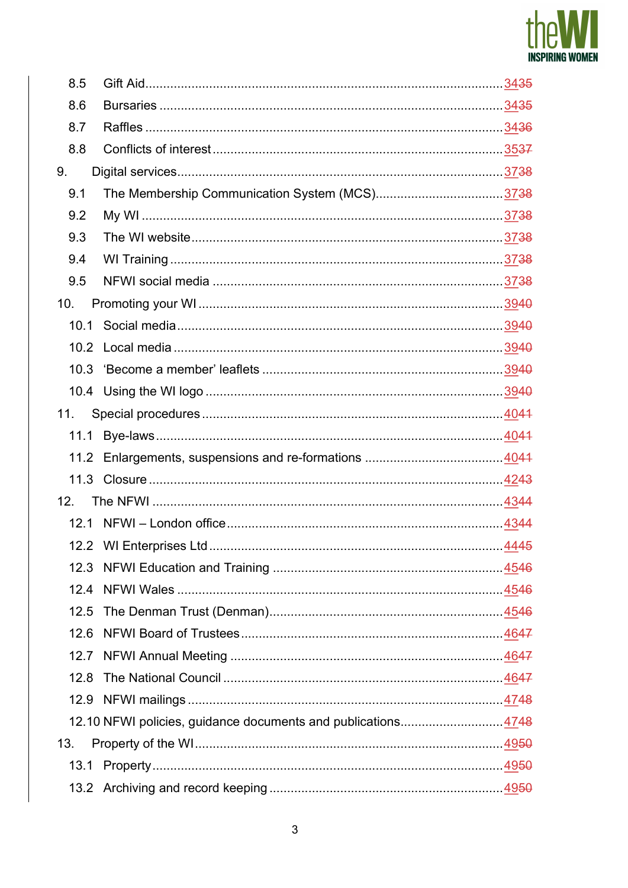

| 8.5  |                                                              |  |
|------|--------------------------------------------------------------|--|
| 8.6  |                                                              |  |
| 8.7  |                                                              |  |
| 8.8  |                                                              |  |
| 9.   |                                                              |  |
| 9.1  |                                                              |  |
| 9.2  |                                                              |  |
| 9.3  |                                                              |  |
| 9.4  |                                                              |  |
| 9.5  |                                                              |  |
| 10.  |                                                              |  |
| 10.1 |                                                              |  |
|      |                                                              |  |
|      |                                                              |  |
|      |                                                              |  |
| 11.  |                                                              |  |
|      |                                                              |  |
|      |                                                              |  |
| 11.3 |                                                              |  |
| 12.  |                                                              |  |
|      |                                                              |  |
|      |                                                              |  |
| 12.3 |                                                              |  |
| 12.4 |                                                              |  |
| 12.5 |                                                              |  |
| 12.6 |                                                              |  |
| 12.7 |                                                              |  |
| 12.8 |                                                              |  |
| 12.9 |                                                              |  |
|      | 12.10 NFWI policies, guidance documents and publications4748 |  |
| 13.  |                                                              |  |
|      |                                                              |  |
|      |                                                              |  |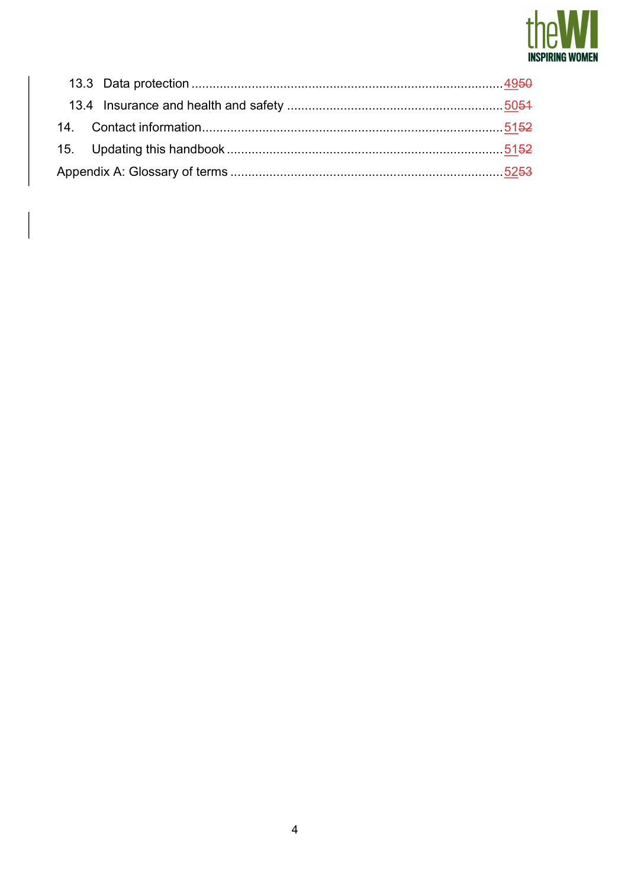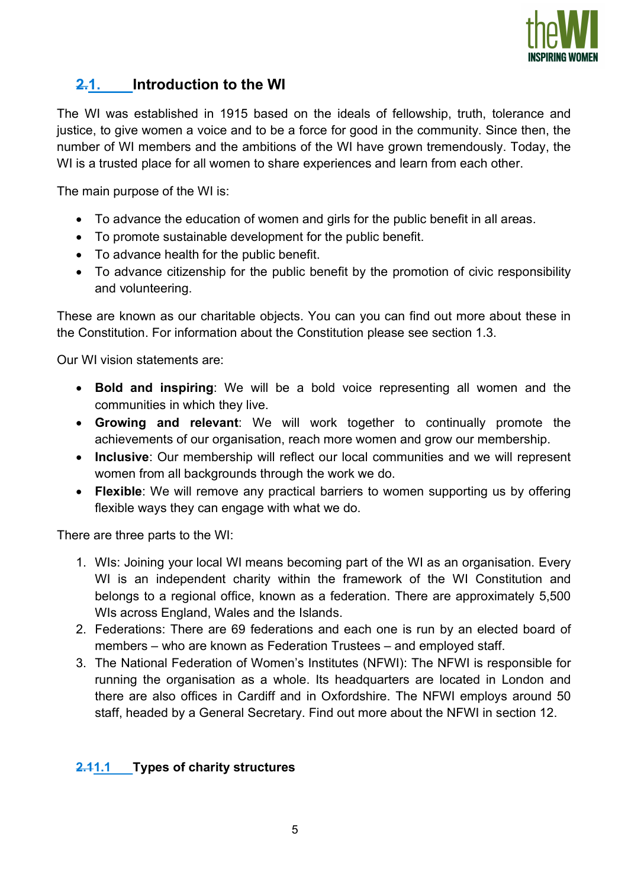

# 2.1. Introduction to the WI

The WI was established in 1915 based on the ideals of fellowship, truth, tolerance and justice, to give women a voice and to be a force for good in the community. Since then, the number of WI members and the ambitions of the WI have grown tremendously. Today, the WI is a trusted place for all women to share experiences and learn from each other.

The main purpose of the WI is:

- To advance the education of women and girls for the public benefit in all areas.
- To promote sustainable development for the public benefit.
- To advance health for the public benefit.
- To advance citizenship for the public benefit by the promotion of civic responsibility and volunteering.

These are known as our charitable objects. You can you can find out more about these in the Constitution. For information about the Constitution please see section 1.3.

Our WI vision statements are:

- Bold and inspiring: We will be a bold voice representing all women and the communities in which they live.
- Growing and relevant: We will work together to continually promote the achievements of our organisation, reach more women and grow our membership.
- Inclusive: Our membership will reflect our local communities and we will represent women from all backgrounds through the work we do.
- Flexible: We will remove any practical barriers to women supporting us by offering flexible ways they can engage with what we do.

There are three parts to the WI:

- 1. WIs: Joining your local WI means becoming part of the WI as an organisation. Every WI is an independent charity within the framework of the WI Constitution and belongs to a regional office, known as a federation. There are approximately 5,500 WIs across England, Wales and the Islands.
- 2. Federations: There are 69 federations and each one is run by an elected board of members – who are known as Federation Trustees – and employed staff.
- 3. The National Federation of Women's Institutes (NFWI): The NFWI is responsible for running the organisation as a whole. Its headquarters are located in London and there are also offices in Cardiff and in Oxfordshire. The NFWI employs around 50 staff, headed by a General Secretary. Find out more about the NFWI in section 12.

## 2.41.1 Types of charity structures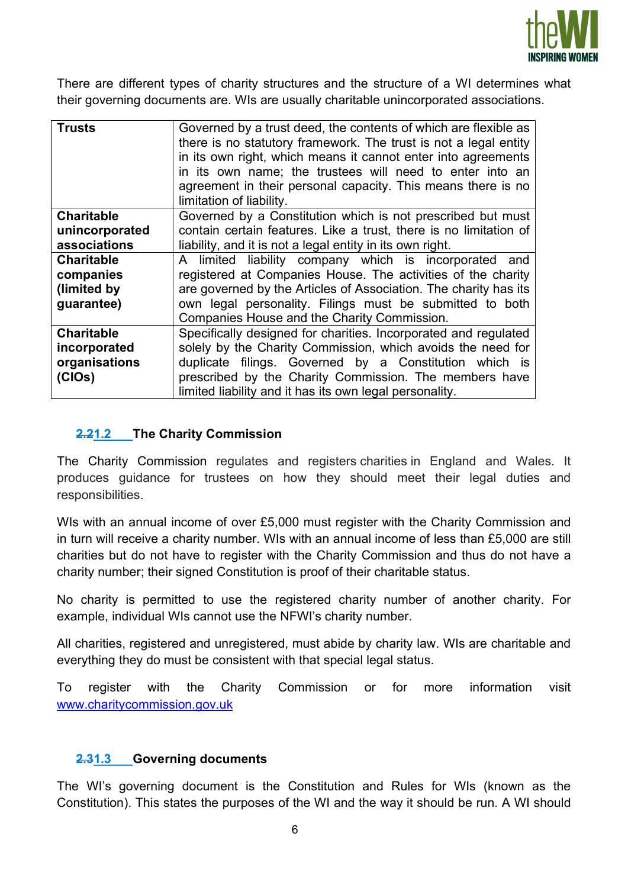

There are different types of charity structures and the structure of a WI determines what their governing documents are. WIs are usually charitable unincorporated associations.

| Governed by a trust deed, the contents of which are flexible as<br><b>Trusts</b><br>there is no statutory framework. The trust is not a legal entity<br>in its own right, which means it cannot enter into agreements<br>in its own name; the trustees will need to enter into an<br>agreement in their personal capacity. This means there is no<br>limitation of liability. |                                                                  |  |  |
|-------------------------------------------------------------------------------------------------------------------------------------------------------------------------------------------------------------------------------------------------------------------------------------------------------------------------------------------------------------------------------|------------------------------------------------------------------|--|--|
| Governed by a Constitution which is not prescribed but must<br><b>Charitable</b>                                                                                                                                                                                                                                                                                              |                                                                  |  |  |
| contain certain features. Like a trust, there is no limitation of<br>unincorporated                                                                                                                                                                                                                                                                                           |                                                                  |  |  |
| associations<br>liability, and it is not a legal entity in its own right.                                                                                                                                                                                                                                                                                                     |                                                                  |  |  |
| <b>Charitable</b><br>A limited liability company which is incorporated and                                                                                                                                                                                                                                                                                                    |                                                                  |  |  |
| companies                                                                                                                                                                                                                                                                                                                                                                     | registered at Companies House. The activities of the charity     |  |  |
| (limited by                                                                                                                                                                                                                                                                                                                                                                   | are governed by the Articles of Association. The charity has its |  |  |
| own legal personality. Filings must be submitted to both<br>guarantee)                                                                                                                                                                                                                                                                                                        |                                                                  |  |  |
|                                                                                                                                                                                                                                                                                                                                                                               | Companies House and the Charity Commission.                      |  |  |
| <b>Charitable</b>                                                                                                                                                                                                                                                                                                                                                             | Specifically designed for charities. Incorporated and regulated  |  |  |
| solely by the Charity Commission, which avoids the need for<br>incorporated                                                                                                                                                                                                                                                                                                   |                                                                  |  |  |
| organisations                                                                                                                                                                                                                                                                                                                                                                 | duplicate filings. Governed by a Constitution which is           |  |  |
| (CIOs)                                                                                                                                                                                                                                                                                                                                                                        | prescribed by the Charity Commission. The members have           |  |  |
|                                                                                                                                                                                                                                                                                                                                                                               | limited liability and it has its own legal personality.          |  |  |

#### 2.21.2 The Charity Commission

The Charity Commission regulates and registers charities in England and Wales. It produces guidance for trustees on how they should meet their legal duties and responsibilities.

WIs with an annual income of over £5,000 must register with the Charity Commission and in turn will receive a charity number. WIs with an annual income of less than £5,000 are still charities but do not have to register with the Charity Commission and thus do not have a charity number; their signed Constitution is proof of their charitable status.

No charity is permitted to use the registered charity number of another charity. For example, individual WIs cannot use the NFWI's charity number.

All charities, registered and unregistered, must abide by charity law. WIs are charitable and everything they do must be consistent with that special legal status.

To register with the Charity Commission or for more information visit www.charitycommission.gov.uk

#### 2.31.3 Governing documents

The WI's governing document is the Constitution and Rules for WIs (known as the Constitution). This states the purposes of the WI and the way it should be run. A WI should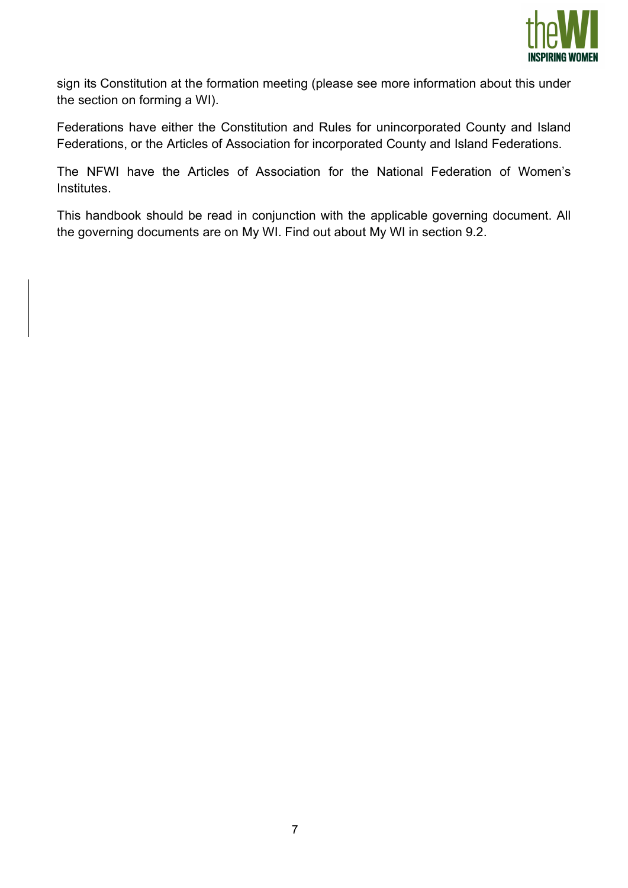

sign its Constitution at the formation meeting (please see more information about this under the section on forming a WI).

Federations have either the Constitution and Rules for unincorporated County and Island Federations, or the Articles of Association for incorporated County and Island Federations.

The NFWI have the Articles of Association for the National Federation of Women's Institutes.

This handbook should be read in conjunction with the applicable governing document. All the governing documents are on My WI. Find out about My WI in section 9.2.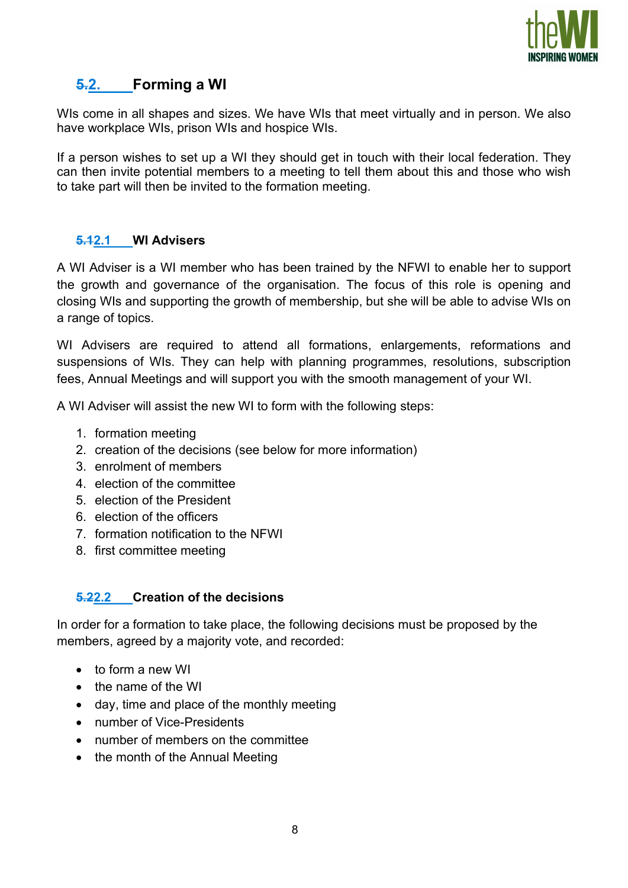

## 5.2. Forming a WI

WIs come in all shapes and sizes. We have WIs that meet virtually and in person. We also have workplace WIs, prison WIs and hospice WIs.

If a person wishes to set up a WI they should get in touch with their local federation. They can then invite potential members to a meeting to tell them about this and those who wish to take part will then be invited to the formation meeting.

#### 5.12.1 WI Advisers

A WI Adviser is a WI member who has been trained by the NFWI to enable her to support the growth and governance of the organisation. The focus of this role is opening and closing WIs and supporting the growth of membership, but she will be able to advise WIs on a range of topics.

WI Advisers are required to attend all formations, enlargements, reformations and suspensions of WIs. They can help with planning programmes, resolutions, subscription fees, Annual Meetings and will support you with the smooth management of your WI.

A WI Adviser will assist the new WI to form with the following steps:

- 1. formation meeting
- 2. creation of the decisions (see below for more information)
- 3. enrolment of members
- 4. election of the committee
- 5. election of the President
- 6. election of the officers
- 7. formation notification to the NFWI
- 8. first committee meeting

#### 5.22.2 Creation of the decisions

In order for a formation to take place, the following decisions must be proposed by the members, agreed by a majority vote, and recorded:

- to form a new WI
- the name of the WI
- day, time and place of the monthly meeting
- number of Vice-Presidents
- number of members on the committee
- the month of the Annual Meeting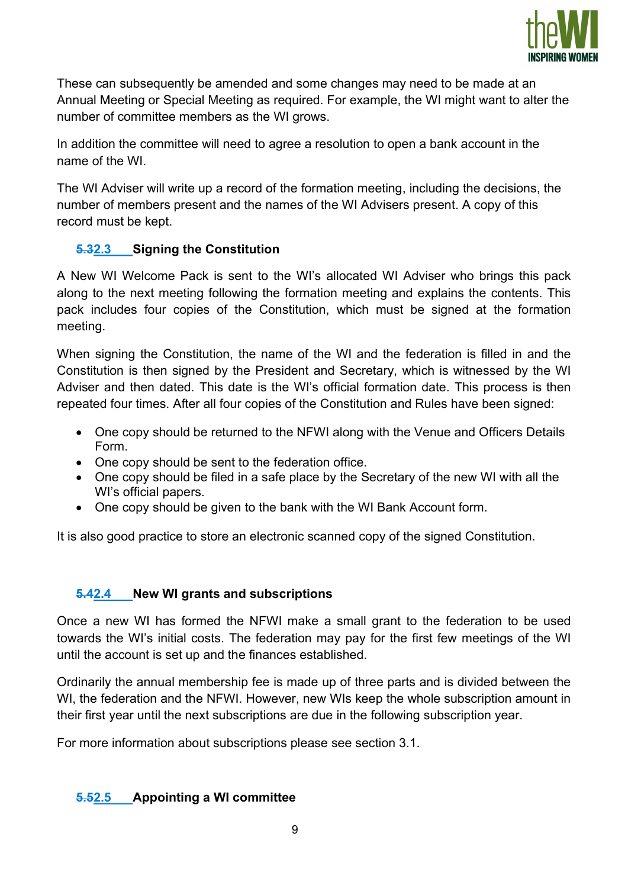

These can subsequently be amended and some changes may need to be made at an Annual Meeting or Special Meeting as required. For example, the WI might want to alter the number of committee members as the WI grows.

In addition the committee will need to agree a resolution to open a bank account in the name of the WI.

The WI Adviser will write up a record of the formation meeting, including the decisions, the number of members present and the names of the WI Advisers present. A copy of this record must be kept.

## 5.32.3 Signing the Constitution

A New WI Welcome Pack is sent to the WI's allocated WI Adviser who brings this pack along to the next meeting following the formation meeting and explains the contents. This pack includes four copies of the Constitution, which must be signed at the formation meeting.

When signing the Constitution, the name of the WI and the federation is filled in and the Constitution is then signed by the President and Secretary, which is witnessed by the WI Adviser and then dated. This date is the WI's official formation date. This process is then repeated four times. After all four copies of the Constitution and Rules have been signed:

- One copy should be returned to the NFWI along with the Venue and Officers Details Form.
- One copy should be sent to the federation office.
- One copy should be filed in a safe place by the Secretary of the new WI with all the WI's official papers.
- One copy should be given to the bank with the WI Bank Account form.

It is also good practice to store an electronic scanned copy of the signed Constitution.

#### 5.42.4 New WI grants and subscriptions

Once a new WI has formed the NFWI make a small grant to the federation to be used towards the WI's initial costs. The federation may pay for the first few meetings of the WI until the account is set up and the finances established.

Ordinarily the annual membership fee is made up of three parts and is divided between the WI, the federation and the NFWI. However, new WIs keep the whole subscription amount in their first year until the next subscriptions are due in the following subscription year.

For more information about subscriptions please see section 3.1.

## 5.52.5 Appointing a WI committee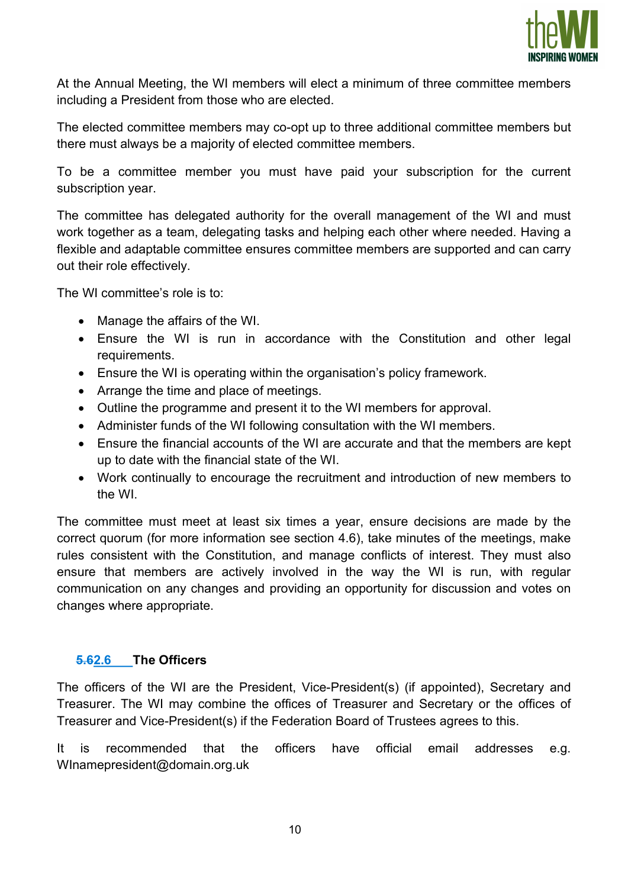

At the Annual Meeting, the WI members will elect a minimum of three committee members including a President from those who are elected.

The elected committee members may co-opt up to three additional committee members but there must always be a majority of elected committee members.

To be a committee member you must have paid your subscription for the current subscription year.

The committee has delegated authority for the overall management of the WI and must work together as a team, delegating tasks and helping each other where needed. Having a flexible and adaptable committee ensures committee members are supported and can carry out their role effectively.

The WI committee's role is to:

- Manage the affairs of the WI.
- Ensure the WI is run in accordance with the Constitution and other legal requirements.
- Ensure the WI is operating within the organisation's policy framework.
- Arrange the time and place of meetings.
- Outline the programme and present it to the WI members for approval.
- Administer funds of the WI following consultation with the WI members.
- Ensure the financial accounts of the WI are accurate and that the members are kept up to date with the financial state of the WI.
- Work continually to encourage the recruitment and introduction of new members to the WI.

The committee must meet at least six times a year, ensure decisions are made by the correct quorum (for more information see section 4.6), take minutes of the meetings, make rules consistent with the Constitution, and manage conflicts of interest. They must also ensure that members are actively involved in the way the WI is run, with regular communication on any changes and providing an opportunity for discussion and votes on changes where appropriate.

#### 5.62.6 The Officers

The officers of the WI are the President, Vice-President(s) (if appointed), Secretary and Treasurer. The WI may combine the offices of Treasurer and Secretary or the offices of Treasurer and Vice-President(s) if the Federation Board of Trustees agrees to this.

It is recommended that the officers have official email addresses e.g. WInamepresident@domain.org.uk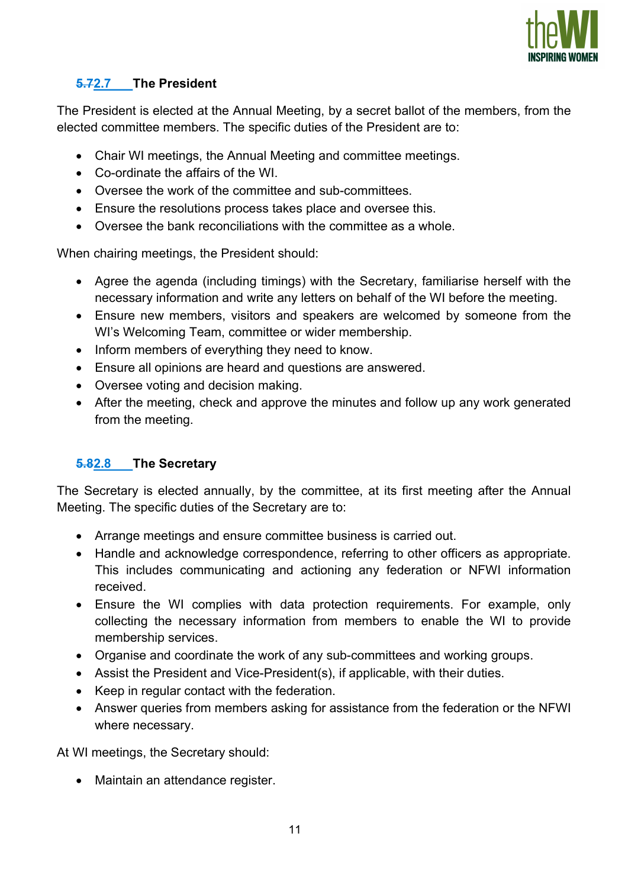

## 5.72.7 The President

The President is elected at the Annual Meeting, by a secret ballot of the members, from the elected committee members. The specific duties of the President are to:

- Chair WI meetings, the Annual Meeting and committee meetings.
- Co-ordinate the affairs of the WI.
- Oversee the work of the committee and sub-committees.
- Ensure the resolutions process takes place and oversee this.
- Oversee the bank reconciliations with the committee as a whole.

When chairing meetings, the President should:

- Agree the agenda (including timings) with the Secretary, familiarise herself with the necessary information and write any letters on behalf of the WI before the meeting.
- Ensure new members, visitors and speakers are welcomed by someone from the WI's Welcoming Team, committee or wider membership.
- Inform members of everything they need to know.
- Ensure all opinions are heard and questions are answered.
- Oversee voting and decision making.
- After the meeting, check and approve the minutes and follow up any work generated from the meeting.

## 5.82.8 The Secretary

The Secretary is elected annually, by the committee, at its first meeting after the Annual Meeting. The specific duties of the Secretary are to:

- Arrange meetings and ensure committee business is carried out.
- Handle and acknowledge correspondence, referring to other officers as appropriate. This includes communicating and actioning any federation or NFWI information received.
- Ensure the WI complies with data protection requirements. For example, only collecting the necessary information from members to enable the WI to provide membership services.
- Organise and coordinate the work of any sub-committees and working groups.
- Assist the President and Vice-President(s), if applicable, with their duties.
- Keep in regular contact with the federation.
- Answer queries from members asking for assistance from the federation or the NFWI where necessary.

At WI meetings, the Secretary should:

• Maintain an attendance register.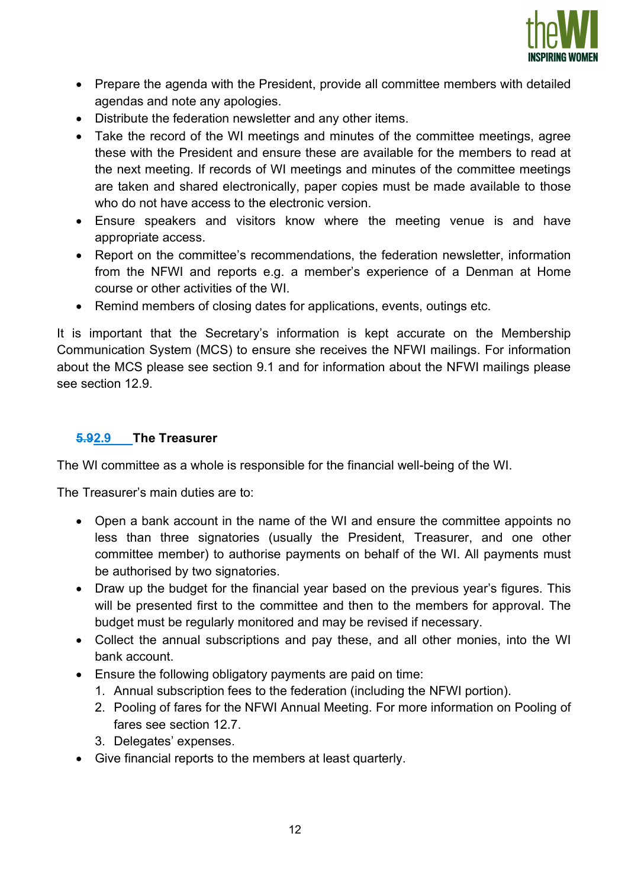

- Prepare the agenda with the President, provide all committee members with detailed agendas and note any apologies.
- Distribute the federation newsletter and any other items.
- Take the record of the WI meetings and minutes of the committee meetings, agree these with the President and ensure these are available for the members to read at the next meeting. If records of WI meetings and minutes of the committee meetings are taken and shared electronically, paper copies must be made available to those who do not have access to the electronic version.
- Ensure speakers and visitors know where the meeting venue is and have appropriate access.
- Report on the committee's recommendations, the federation newsletter, information from the NFWI and reports e.g. a member's experience of a Denman at Home course or other activities of the WI.
- Remind members of closing dates for applications, events, outings etc.

It is important that the Secretary's information is kept accurate on the Membership Communication System (MCS) to ensure she receives the NFWI mailings. For information about the MCS please see section 9.1 and for information about the NFWI mailings please see section 12.9.

#### 5.92.9 The Treasurer

The WI committee as a whole is responsible for the financial well-being of the WI.

The Treasurer's main duties are to:

- Open a bank account in the name of the WI and ensure the committee appoints no less than three signatories (usually the President, Treasurer, and one other committee member) to authorise payments on behalf of the WI. All payments must be authorised by two signatories.
- Draw up the budget for the financial year based on the previous year's figures. This will be presented first to the committee and then to the members for approval. The budget must be regularly monitored and may be revised if necessary.
- Collect the annual subscriptions and pay these, and all other monies, into the WI bank account.
- Ensure the following obligatory payments are paid on time:
	- 1. Annual subscription fees to the federation (including the NFWI portion).
	- 2. Pooling of fares for the NFWI Annual Meeting. For more information on Pooling of fares see section 12.7.
	- 3. Delegates' expenses.
- Give financial reports to the members at least quarterly.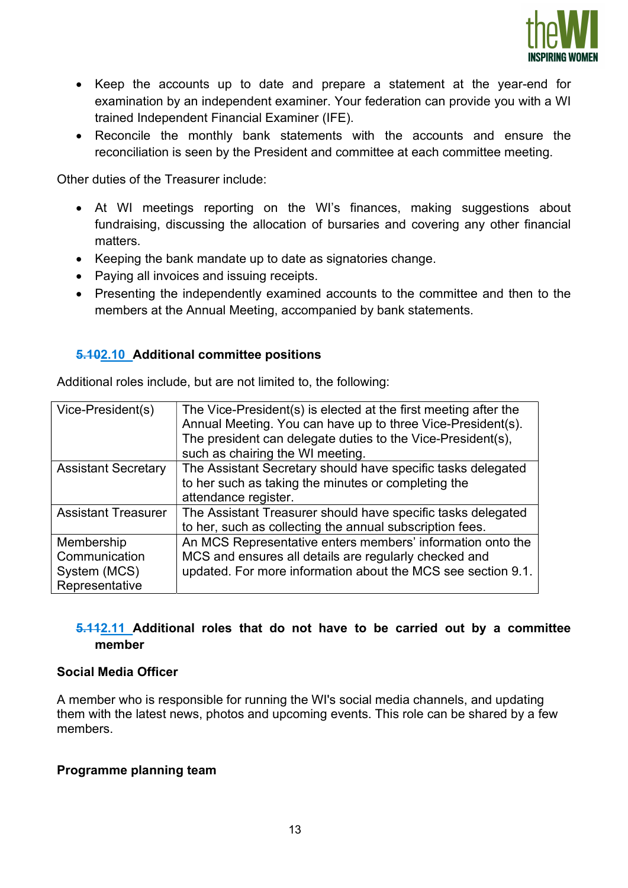

- Keep the accounts up to date and prepare a statement at the year-end for examination by an independent examiner. Your federation can provide you with a WI trained Independent Financial Examiner (IFE).
- Reconcile the monthly bank statements with the accounts and ensure the reconciliation is seen by the President and committee at each committee meeting.

Other duties of the Treasurer include:

- At WI meetings reporting on the WI's finances, making suggestions about fundraising, discussing the allocation of bursaries and covering any other financial matters.
- Keeping the bank mandate up to date as signatories change.
- Paying all invoices and issuing receipts.
- Presenting the independently examined accounts to the committee and then to the members at the Annual Meeting, accompanied by bank statements.

## 5.102.10 Additional committee positions

| Vice-President(s)                                             | The Vice-President(s) is elected at the first meeting after the<br>Annual Meeting. You can have up to three Vice-President(s).<br>The president can delegate duties to the Vice-President(s),<br>such as chairing the WI meeting. |
|---------------------------------------------------------------|-----------------------------------------------------------------------------------------------------------------------------------------------------------------------------------------------------------------------------------|
| <b>Assistant Secretary</b>                                    | The Assistant Secretary should have specific tasks delegated<br>to her such as taking the minutes or completing the<br>attendance register.                                                                                       |
| <b>Assistant Treasurer</b>                                    | The Assistant Treasurer should have specific tasks delegated<br>to her, such as collecting the annual subscription fees.                                                                                                          |
| Membership<br>Communication<br>System (MCS)<br>Representative | An MCS Representative enters members' information onto the<br>MCS and ensures all details are regularly checked and<br>updated. For more information about the MCS see section 9.1.                                               |

Additional roles include, but are not limited to, the following:

## 5.112.11 Additional roles that do not have to be carried out by a committee member

#### Social Media Officer

A member who is responsible for running the WI's social media channels, and updating them with the latest news, photos and upcoming events. This role can be shared by a few members.

#### Programme planning team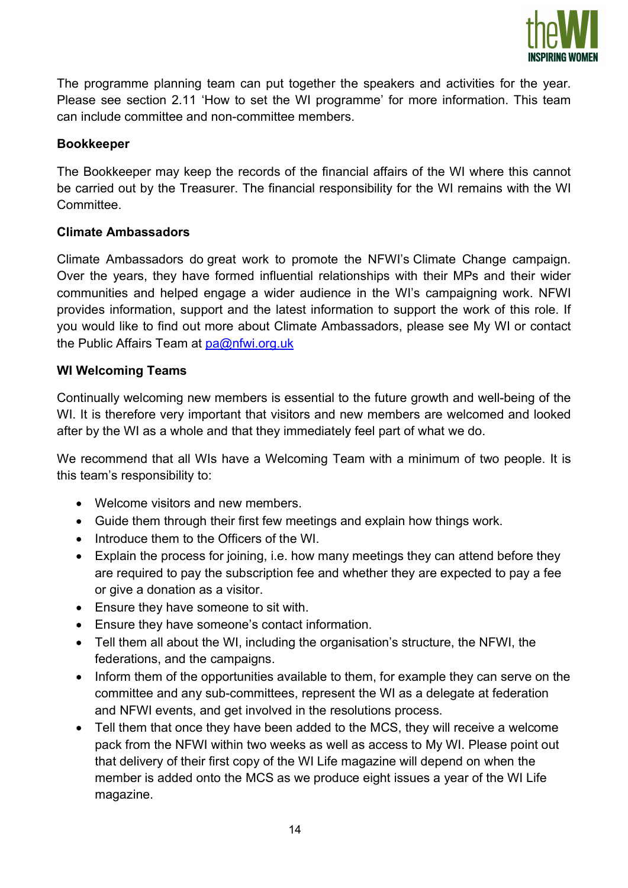

The programme planning team can put together the speakers and activities for the year. Please see section 2.11 'How to set the WI programme' for more information. This team can include committee and non-committee members.

## Bookkeeper

The Bookkeeper may keep the records of the financial affairs of the WI where this cannot be carried out by the Treasurer. The financial responsibility for the WI remains with the WI Committee.

## Climate Ambassadors

Climate Ambassadors do great work to promote the NFWI's Climate Change campaign. Over the years, they have formed influential relationships with their MPs and their wider communities and helped engage a wider audience in the WI's campaigning work. NFWI provides information, support and the latest information to support the work of this role. If you would like to find out more about Climate Ambassadors, please see My WI or contact the Public Affairs Team at pa@nfwi.org.uk

## WI Welcoming Teams

Continually welcoming new members is essential to the future growth and well-being of the WI. It is therefore very important that visitors and new members are welcomed and looked after by the WI as a whole and that they immediately feel part of what we do.

We recommend that all WIs have a Welcoming Team with a minimum of two people. It is this team's responsibility to:

- Welcome visitors and new members.
- Guide them through their first few meetings and explain how things work.
- Introduce them to the Officers of the WI.
- Explain the process for joining, i.e. how many meetings they can attend before they are required to pay the subscription fee and whether they are expected to pay a fee or give a donation as a visitor.
- Ensure they have someone to sit with.
- Ensure they have someone's contact information.
- Tell them all about the WI, including the organisation's structure, the NFWI, the federations, and the campaigns.
- Inform them of the opportunities available to them, for example they can serve on the committee and any sub-committees, represent the WI as a delegate at federation and NFWI events, and get involved in the resolutions process.
- Tell them that once they have been added to the MCS, they will receive a welcome pack from the NFWI within two weeks as well as access to My WI. Please point out that delivery of their first copy of the WI Life magazine will depend on when the member is added onto the MCS as we produce eight issues a year of the WI Life magazine.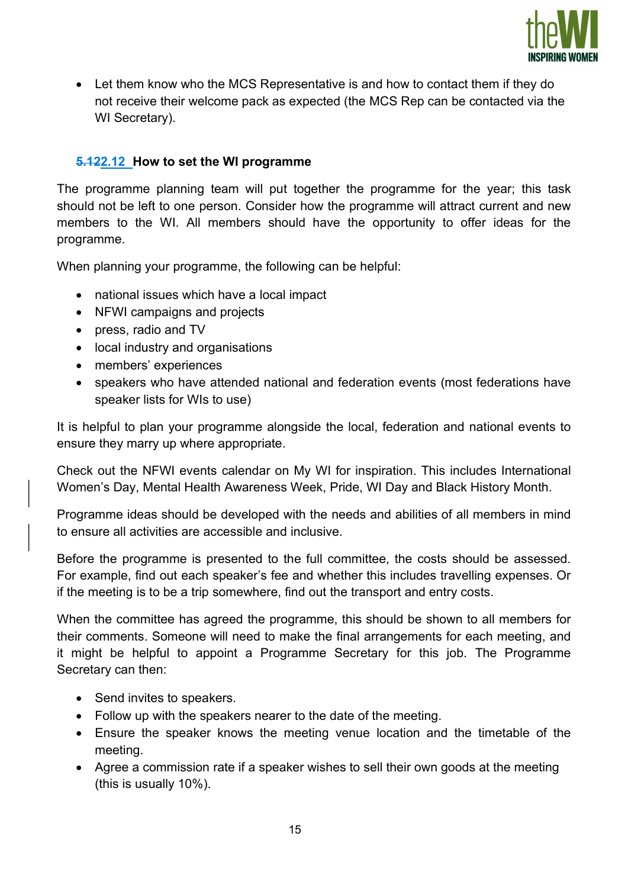

 Let them know who the MCS Representative is and how to contact them if they do not receive their welcome pack as expected (the MCS Rep can be contacted via the WI Secretary).

## 5.122.12 How to set the WI programme

The programme planning team will put together the programme for the year; this task should not be left to one person. Consider how the programme will attract current and new members to the WI. All members should have the opportunity to offer ideas for the programme.

When planning your programme, the following can be helpful:

- national issues which have a local impact
- NFWI campaigns and projects
- press, radio and TV
- local industry and organisations
- members' experiences
- speakers who have attended national and federation events (most federations have speaker lists for WIs to use)

It is helpful to plan your programme alongside the local, federation and national events to ensure they marry up where appropriate.

Check out the NFWI events calendar on My WI for inspiration. This includes International Women's Day, Mental Health Awareness Week, Pride, WI Day and Black History Month.

Programme ideas should be developed with the needs and abilities of all members in mind to ensure all activities are accessible and inclusive.

Before the programme is presented to the full committee, the costs should be assessed. For example, find out each speaker's fee and whether this includes travelling expenses. Or if the meeting is to be a trip somewhere, find out the transport and entry costs.

When the committee has agreed the programme, this should be shown to all members for their comments. Someone will need to make the final arrangements for each meeting, and it might be helpful to appoint a Programme Secretary for this job. The Programme Secretary can then:

- Send invites to speakers.
- Follow up with the speakers nearer to the date of the meeting.
- Ensure the speaker knows the meeting venue location and the timetable of the meeting.
- Agree a commission rate if a speaker wishes to sell their own goods at the meeting (this is usually 10%).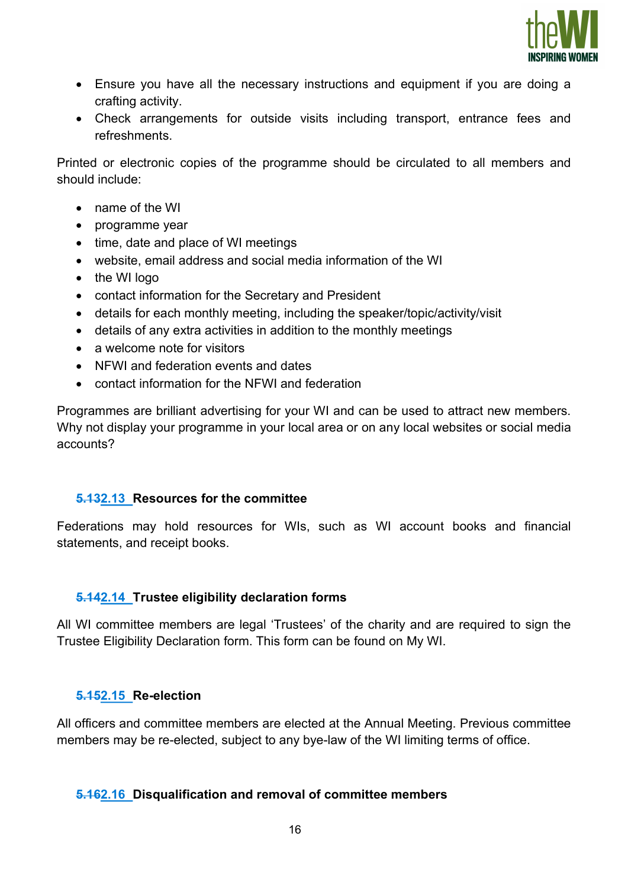

- Ensure you have all the necessary instructions and equipment if you are doing a crafting activity.
- Check arrangements for outside visits including transport, entrance fees and refreshments.

Printed or electronic copies of the programme should be circulated to all members and should include:

- name of the WI
- programme year
- time, date and place of WI meetings
- website, email address and social media information of the WI
- the WI logo
- contact information for the Secretary and President
- details for each monthly meeting, including the speaker/topic/activity/visit
- details of any extra activities in addition to the monthly meetings
- a welcome note for visitors
- NFWI and federation events and dates
- contact information for the NFWI and federation

Programmes are brilliant advertising for your WI and can be used to attract new members. Why not display your programme in your local area or on any local websites or social media accounts?

#### 5.132.13 Resources for the committee

Federations may hold resources for WIs, such as WI account books and financial statements, and receipt books.

#### 5.142.14 Trustee eligibility declaration forms

All WI committee members are legal 'Trustees' of the charity and are required to sign the Trustee Eligibility Declaration form. This form can be found on My WI.

#### 5.152.15 Re-election

All officers and committee members are elected at the Annual Meeting. Previous committee members may be re-elected, subject to any bye-law of the WI limiting terms of office.

#### 5.162.16 Disqualification and removal of committee members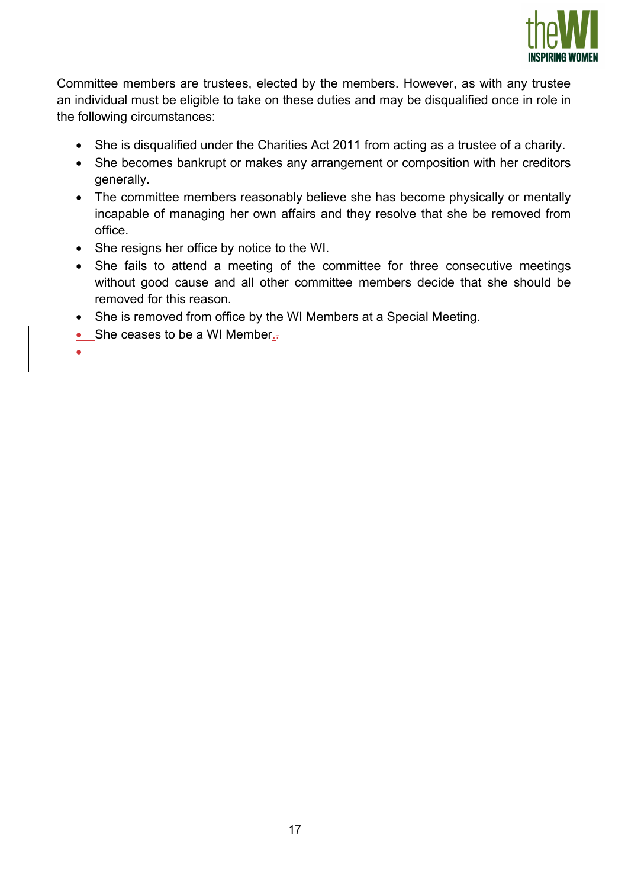

Committee members are trustees, elected by the members. However, as with any trustee an individual must be eligible to take on these duties and may be disqualified once in role in the following circumstances:

- She is disqualified under the Charities Act 2011 from acting as a trustee of a charity.
- She becomes bankrupt or makes any arrangement or composition with her creditors generally.
- The committee members reasonably believe she has become physically or mentally incapable of managing her own affairs and they resolve that she be removed from office.
- She resigns her office by notice to the WI.
- She fails to attend a meeting of the committee for three consecutive meetings without good cause and all other committee members decide that she should be removed for this reason.
- She is removed from office by the WI Members at a Special Meeting.
- $\bullet$  She ceases to be a WI Member...

 $\bullet$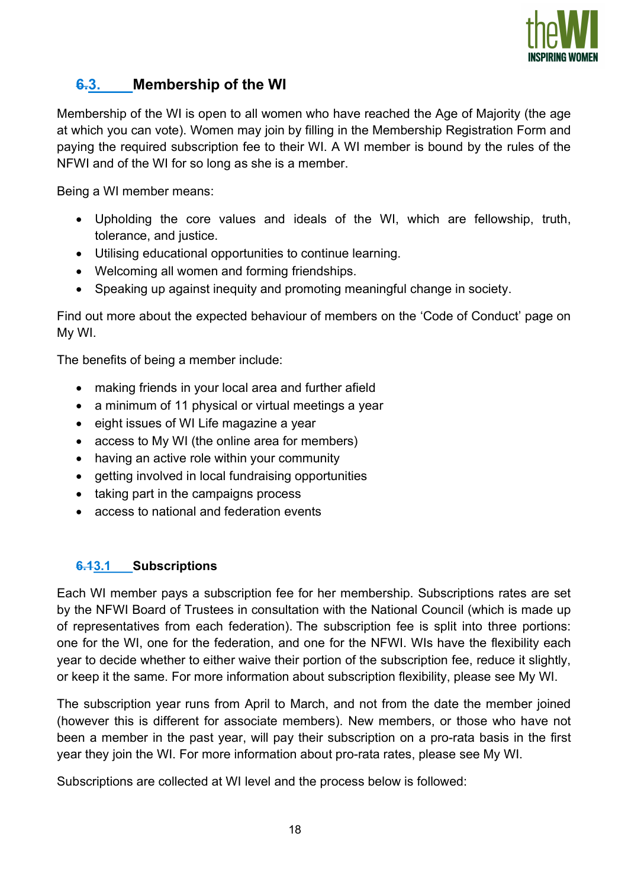

## 6.3. Membership of the WI

Membership of the WI is open to all women who have reached the Age of Majority (the age at which you can vote). Women may join by filling in the Membership Registration Form and paying the required subscription fee to their WI. A WI member is bound by the rules of the NFWI and of the WI for so long as she is a member.

Being a WI member means:

- Upholding the core values and ideals of the WI, which are fellowship, truth, tolerance, and justice.
- Utilising educational opportunities to continue learning.
- Welcoming all women and forming friendships.
- Speaking up against inequity and promoting meaningful change in society.

Find out more about the expected behaviour of members on the 'Code of Conduct' page on My WI.

The benefits of being a member include:

- making friends in your local area and further afield
- a minimum of 11 physical or virtual meetings a year
- eight issues of WI Life magazine a year
- access to My WI (the online area for members)
- having an active role within your community
- getting involved in local fundraising opportunities
- taking part in the campaigns process
- access to national and federation events

#### 6.13.1 Subscriptions

Each WI member pays a subscription fee for her membership. Subscriptions rates are set by the NFWI Board of Trustees in consultation with the National Council (which is made up of representatives from each federation). The subscription fee is split into three portions: one for the WI, one for the federation, and one for the NFWI. WIs have the flexibility each year to decide whether to either waive their portion of the subscription fee, reduce it slightly, or keep it the same. For more information about subscription flexibility, please see My WI.

The subscription year runs from April to March, and not from the date the member joined (however this is different for associate members). New members, or those who have not been a member in the past year, will pay their subscription on a pro-rata basis in the first year they join the WI. For more information about pro-rata rates, please see My WI.

Subscriptions are collected at WI level and the process below is followed: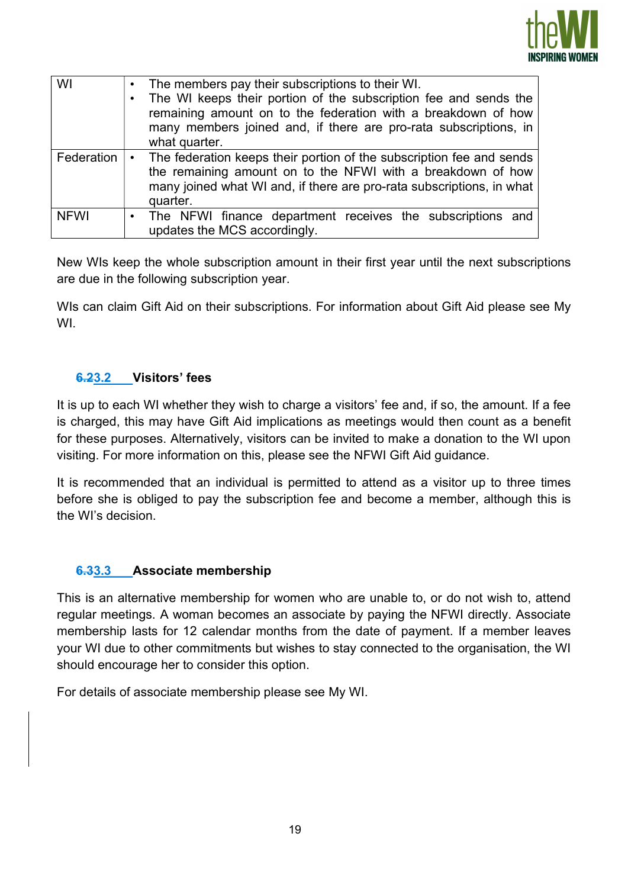

| WI          | The members pay their subscriptions to their WI.<br>The WI keeps their portion of the subscription fee and sends the<br>remaining amount on to the federation with a breakdown of how<br>many members joined and, if there are pro-rata subscriptions, in<br>what quarter. |  |
|-------------|----------------------------------------------------------------------------------------------------------------------------------------------------------------------------------------------------------------------------------------------------------------------------|--|
| Federation  | The federation keeps their portion of the subscription fee and sends<br>$\bullet$<br>the remaining amount on to the NFWI with a breakdown of how<br>many joined what WI and, if there are pro-rata subscriptions, in what<br>quarter.                                      |  |
| <b>NFWI</b> | • The NFWI finance department receives the subscriptions and<br>updates the MCS accordingly.                                                                                                                                                                               |  |

New WIs keep the whole subscription amount in their first year until the next subscriptions are due in the following subscription year.

WIs can claim Gift Aid on their subscriptions. For information about Gift Aid please see My WI.

## 6.23.2 Visitors' fees

It is up to each WI whether they wish to charge a visitors' fee and, if so, the amount. If a fee is charged, this may have Gift Aid implications as meetings would then count as a benefit for these purposes. Alternatively, visitors can be invited to make a donation to the WI upon visiting. For more information on this, please see the NFWI Gift Aid guidance.

It is recommended that an individual is permitted to attend as a visitor up to three times before she is obliged to pay the subscription fee and become a member, although this is the WI's decision.

#### 6.33.3 Associate membership

This is an alternative membership for women who are unable to, or do not wish to, attend regular meetings. A woman becomes an associate by paying the NFWI directly. Associate membership lasts for 12 calendar months from the date of payment. If a member leaves your WI due to other commitments but wishes to stay connected to the organisation, the WI should encourage her to consider this option.

For details of associate membership please see My WI.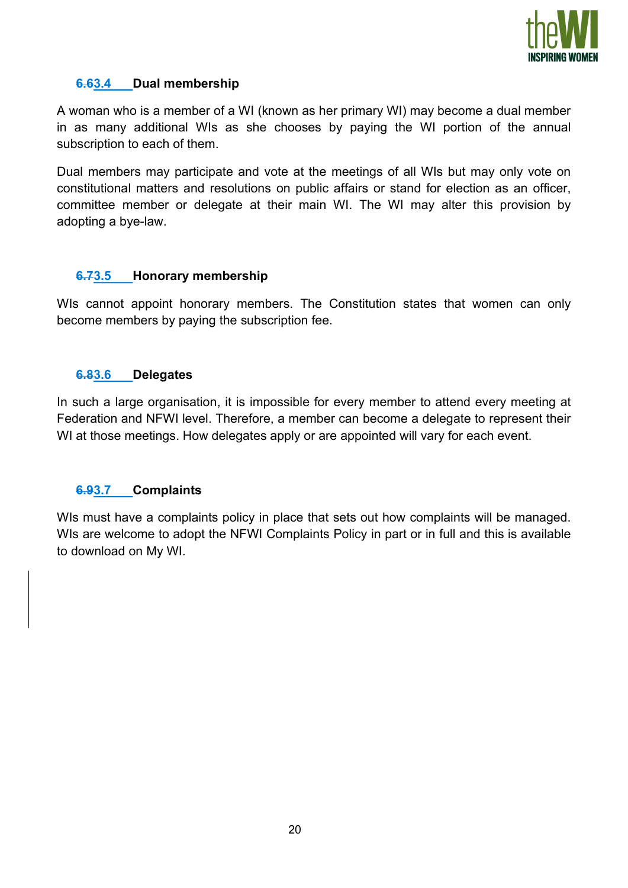

### 6.63.4 Dual membership

A woman who is a member of a WI (known as her primary WI) may become a dual member in as many additional WIs as she chooses by paying the WI portion of the annual subscription to each of them.

Dual members may participate and vote at the meetings of all WIs but may only vote on constitutional matters and resolutions on public affairs or stand for election as an officer, committee member or delegate at their main WI. The WI may alter this provision by adopting a bye-law.

## 6.73.5 Honorary membership

WIs cannot appoint honorary members. The Constitution states that women can only become members by paying the subscription fee.

#### 6.83.6 Delegates

In such a large organisation, it is impossible for every member to attend every meeting at Federation and NFWI level. Therefore, a member can become a delegate to represent their WI at those meetings. How delegates apply or are appointed will vary for each event.

#### 6.93.7 Complaints

WIs must have a complaints policy in place that sets out how complaints will be managed. WIs are welcome to adopt the NFWI Complaints Policy in part or in full and this is available to download on My WI.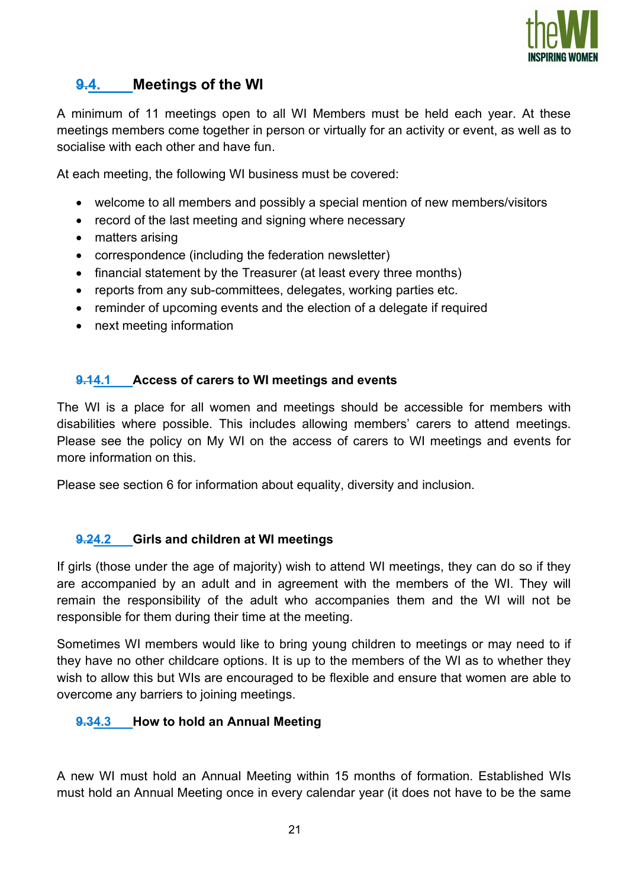

# 9.4. Meetings of the WI

A minimum of 11 meetings open to all WI Members must be held each year. At these meetings members come together in person or virtually for an activity or event, as well as to socialise with each other and have fun.

At each meeting, the following WI business must be covered:

- welcome to all members and possibly a special mention of new members/visitors
- record of the last meeting and signing where necessary
- matters arising
- correspondence (including the federation newsletter)
- financial statement by the Treasurer (at least every three months)
- reports from any sub-committees, delegates, working parties etc.
- reminder of upcoming events and the election of a delegate if required
- next meeting information

## 9.14.1 Access of carers to WI meetings and events

The WI is a place for all women and meetings should be accessible for members with disabilities where possible. This includes allowing members' carers to attend meetings. Please see the policy on My WI on the access of carers to WI meetings and events for more information on this.

Please see section 6 for information about equality, diversity and inclusion.

#### 9.24.2 Girls and children at WI meetings

If girls (those under the age of majority) wish to attend WI meetings, they can do so if they are accompanied by an adult and in agreement with the members of the WI. They will remain the responsibility of the adult who accompanies them and the WI will not be responsible for them during their time at the meeting.

Sometimes WI members would like to bring young children to meetings or may need to if they have no other childcare options. It is up to the members of the WI as to whether they wish to allow this but WIs are encouraged to be flexible and ensure that women are able to overcome any barriers to joining meetings.

#### 9.34.3 How to hold an Annual Meeting

A new WI must hold an Annual Meeting within 15 months of formation. Established WIs must hold an Annual Meeting once in every calendar year (it does not have to be the same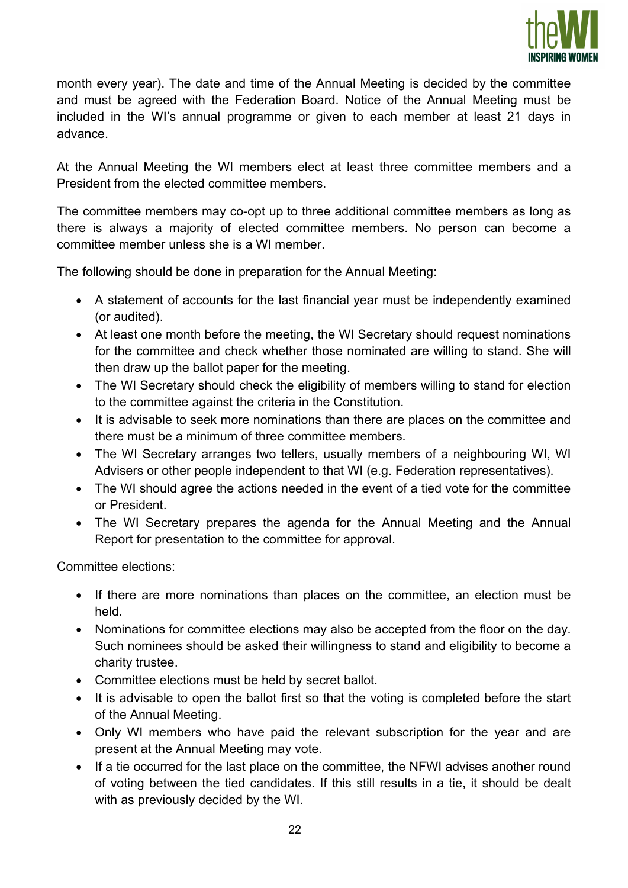

month every year). The date and time of the Annual Meeting is decided by the committee and must be agreed with the Federation Board. Notice of the Annual Meeting must be included in the WI's annual programme or given to each member at least 21 days in advance.

At the Annual Meeting the WI members elect at least three committee members and a President from the elected committee members.

The committee members may co-opt up to three additional committee members as long as there is always a majority of elected committee members. No person can become a committee member unless she is a WI member.

The following should be done in preparation for the Annual Meeting:

- A statement of accounts for the last financial year must be independently examined (or audited).
- At least one month before the meeting, the WI Secretary should request nominations for the committee and check whether those nominated are willing to stand. She will then draw up the ballot paper for the meeting.
- The WI Secretary should check the eligibility of members willing to stand for election to the committee against the criteria in the Constitution.
- It is advisable to seek more nominations than there are places on the committee and there must be a minimum of three committee members.
- The WI Secretary arranges two tellers, usually members of a neighbouring WI, WI Advisers or other people independent to that WI (e.g. Federation representatives).
- The WI should agree the actions needed in the event of a tied vote for the committee or President.
- The WI Secretary prepares the agenda for the Annual Meeting and the Annual Report for presentation to the committee for approval.

Committee elections:

- If there are more nominations than places on the committee, an election must be held.
- Nominations for committee elections may also be accepted from the floor on the day. Such nominees should be asked their willingness to stand and eligibility to become a charity trustee.
- Committee elections must be held by secret ballot.
- It is advisable to open the ballot first so that the voting is completed before the start of the Annual Meeting.
- Only WI members who have paid the relevant subscription for the year and are present at the Annual Meeting may vote.
- If a tie occurred for the last place on the committee, the NFWI advises another round of voting between the tied candidates. If this still results in a tie, it should be dealt with as previously decided by the WI.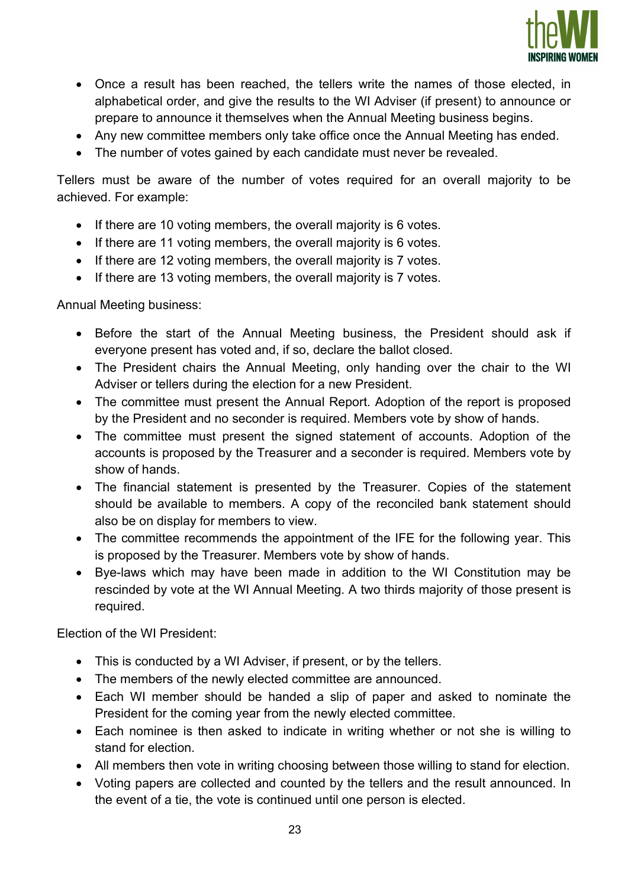

- Once a result has been reached, the tellers write the names of those elected, in alphabetical order, and give the results to the WI Adviser (if present) to announce or prepare to announce it themselves when the Annual Meeting business begins.
- Any new committee members only take office once the Annual Meeting has ended.
- The number of votes gained by each candidate must never be revealed.

Tellers must be aware of the number of votes required for an overall majority to be achieved. For example:

- If there are 10 voting members, the overall majority is 6 votes.
- If there are 11 voting members, the overall majority is 6 votes.
- If there are 12 voting members, the overall majority is 7 votes.
- If there are 13 voting members, the overall majority is 7 votes.

#### Annual Meeting business:

- Before the start of the Annual Meeting business, the President should ask if everyone present has voted and, if so, declare the ballot closed.
- The President chairs the Annual Meeting, only handing over the chair to the WI Adviser or tellers during the election for a new President.
- The committee must present the Annual Report. Adoption of the report is proposed by the President and no seconder is required. Members vote by show of hands.
- The committee must present the signed statement of accounts. Adoption of the accounts is proposed by the Treasurer and a seconder is required. Members vote by show of hands.
- The financial statement is presented by the Treasurer. Copies of the statement should be available to members. A copy of the reconciled bank statement should also be on display for members to view.
- The committee recommends the appointment of the IFE for the following year. This is proposed by the Treasurer. Members vote by show of hands.
- Bye-laws which may have been made in addition to the WI Constitution may be rescinded by vote at the WI Annual Meeting. A two thirds majority of those present is required.

Election of the WI President:

- This is conducted by a WI Adviser, if present, or by the tellers.
- The members of the newly elected committee are announced.
- Each WI member should be handed a slip of paper and asked to nominate the President for the coming year from the newly elected committee.
- Each nominee is then asked to indicate in writing whether or not she is willing to stand for election.
- All members then vote in writing choosing between those willing to stand for election.
- Voting papers are collected and counted by the tellers and the result announced. In the event of a tie, the vote is continued until one person is elected.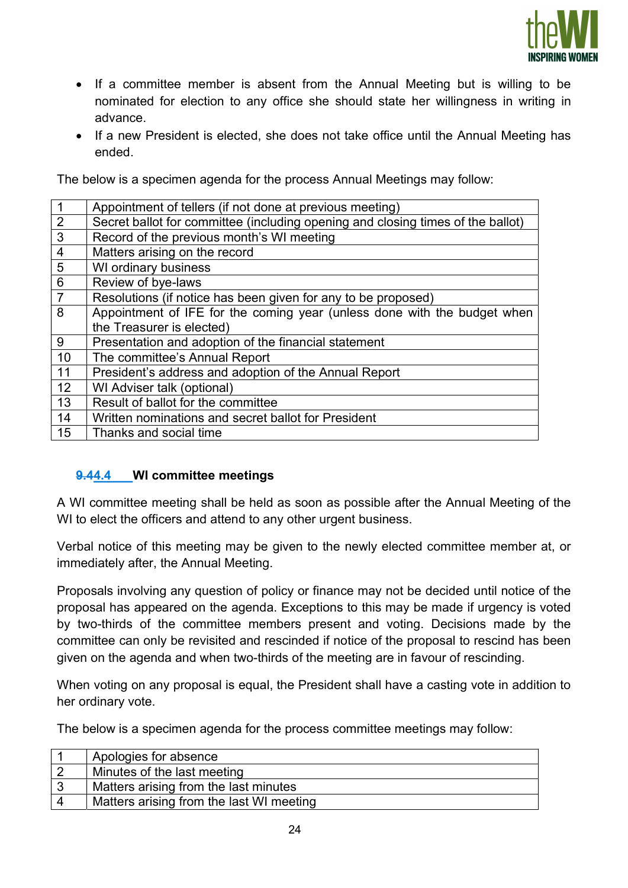

- If a committee member is absent from the Annual Meeting but is willing to be nominated for election to any office she should state her willingness in writing in advance.
- If a new President is elected, she does not take office until the Annual Meeting has ended.

The below is a specimen agenda for the process Annual Meetings may follow:

|                | Appointment of tellers (if not done at previous meeting)                        |  |  |
|----------------|---------------------------------------------------------------------------------|--|--|
|                |                                                                                 |  |  |
| $\overline{2}$ | Secret ballot for committee (including opening and closing times of the ballot) |  |  |
| 3              | Record of the previous month's WI meeting                                       |  |  |
| $\overline{4}$ | Matters arising on the record                                                   |  |  |
| 5              | WI ordinary business                                                            |  |  |
| $6\phantom{1}$ | Review of bye-laws                                                              |  |  |
| $\overline{7}$ | Resolutions (if notice has been given for any to be proposed)                   |  |  |
| 8              | Appointment of IFE for the coming year (unless done with the budget when        |  |  |
|                | the Treasurer is elected)                                                       |  |  |
| 9              | Presentation and adoption of the financial statement                            |  |  |
| 10             | The committee's Annual Report                                                   |  |  |
| 11             | President's address and adoption of the Annual Report                           |  |  |
| 12             | WI Adviser talk (optional)                                                      |  |  |
| 13             | Result of ballot for the committee                                              |  |  |
| 14             | Written nominations and secret ballot for President                             |  |  |
| 15             | Thanks and social time                                                          |  |  |

## 9.44.4 WI committee meetings

A WI committee meeting shall be held as soon as possible after the Annual Meeting of the WI to elect the officers and attend to any other urgent business.

Verbal notice of this meeting may be given to the newly elected committee member at, or immediately after, the Annual Meeting.

Proposals involving any question of policy or finance may not be decided until notice of the proposal has appeared on the agenda. Exceptions to this may be made if urgency is voted by two-thirds of the committee members present and voting. Decisions made by the committee can only be revisited and rescinded if notice of the proposal to rescind has been given on the agenda and when two-thirds of the meeting are in favour of rescinding.

When voting on any proposal is equal, the President shall have a casting vote in addition to her ordinary vote.

The below is a specimen agenda for the process committee meetings may follow:

| Apologies for absence                    |
|------------------------------------------|
| Minutes of the last meeting              |
| Matters arising from the last minutes    |
| Matters arising from the last WI meeting |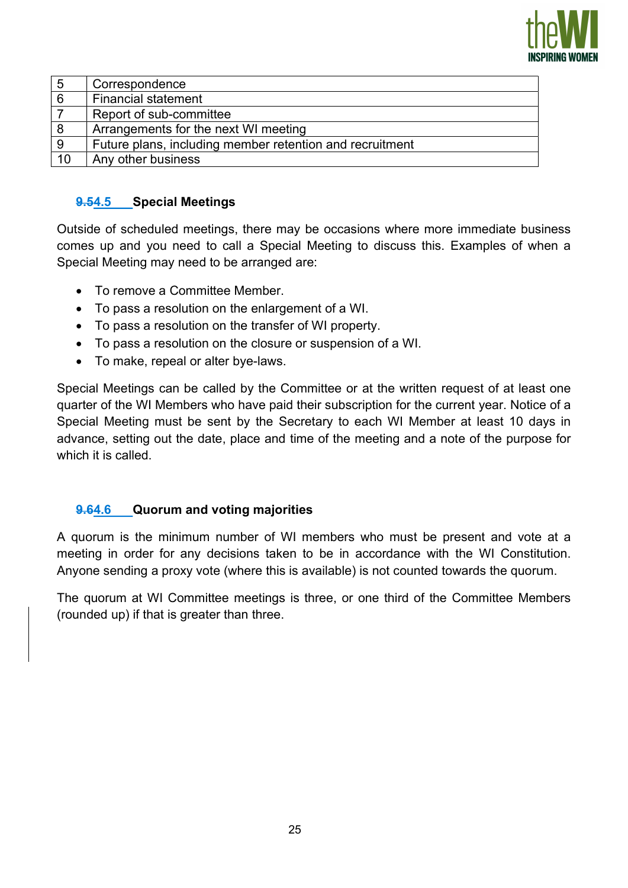

| 5  | Correspondence                                           |  |
|----|----------------------------------------------------------|--|
| 6  | <b>Financial statement</b>                               |  |
|    | Report of sub-committee                                  |  |
| 8  | Arrangements for the next WI meeting                     |  |
| 9  | Future plans, including member retention and recruitment |  |
| 10 | Any other business                                       |  |

## 9.54.5 Special Meetings

Outside of scheduled meetings, there may be occasions where more immediate business comes up and you need to call a Special Meeting to discuss this. Examples of when a Special Meeting may need to be arranged are:

- To remove a Committee Member.
- To pass a resolution on the enlargement of a WI.
- To pass a resolution on the transfer of WI property.
- To pass a resolution on the closure or suspension of a WI.
- To make, repeal or alter bye-laws.

Special Meetings can be called by the Committee or at the written request of at least one quarter of the WI Members who have paid their subscription for the current year. Notice of a Special Meeting must be sent by the Secretary to each WI Member at least 10 days in advance, setting out the date, place and time of the meeting and a note of the purpose for which it is called.

#### 9.64.6 Quorum and voting majorities

A quorum is the minimum number of WI members who must be present and vote at a meeting in order for any decisions taken to be in accordance with the WI Constitution. Anyone sending a proxy vote (where this is available) is not counted towards the quorum.

The quorum at WI Committee meetings is three, or one third of the Committee Members (rounded up) if that is greater than three.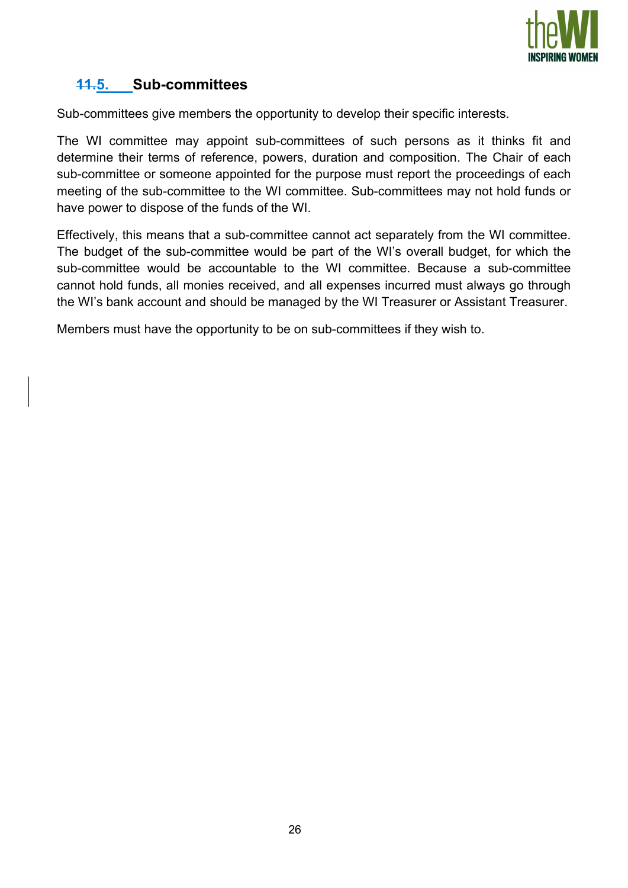

# 11.5. Sub-committees

Sub-committees give members the opportunity to develop their specific interests.

The WI committee may appoint sub-committees of such persons as it thinks fit and determine their terms of reference, powers, duration and composition. The Chair of each sub-committee or someone appointed for the purpose must report the proceedings of each meeting of the sub-committee to the WI committee. Sub-committees may not hold funds or have power to dispose of the funds of the WI.

Effectively, this means that a sub-committee cannot act separately from the WI committee. The budget of the sub-committee would be part of the WI's overall budget, for which the sub-committee would be accountable to the WI committee. Because a sub-committee cannot hold funds, all monies received, and all expenses incurred must always go through the WI's bank account and should be managed by the WI Treasurer or Assistant Treasurer.

Members must have the opportunity to be on sub-committees if they wish to.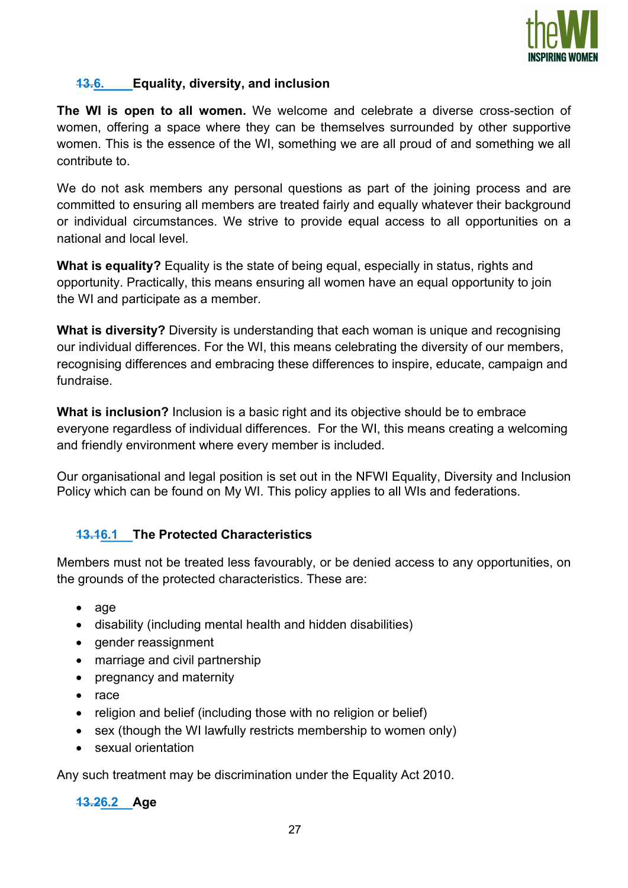

## 13.6. Equality, diversity, and inclusion

The WI is open to all women. We welcome and celebrate a diverse cross-section of women, offering a space where they can be themselves surrounded by other supportive women. This is the essence of the WI, something we are all proud of and something we all contribute to.

We do not ask members any personal questions as part of the joining process and are committed to ensuring all members are treated fairly and equally whatever their background or individual circumstances. We strive to provide equal access to all opportunities on a national and local level.

What is equality? Equality is the state of being equal, especially in status, rights and opportunity. Practically, this means ensuring all women have an equal opportunity to join the WI and participate as a member.

What is diversity? Diversity is understanding that each woman is unique and recognising our individual differences. For the WI, this means celebrating the diversity of our members, recognising differences and embracing these differences to inspire, educate, campaign and fundraise.

What is inclusion? Inclusion is a basic right and its objective should be to embrace everyone regardless of individual differences. For the WI, this means creating a welcoming and friendly environment where every member is included.

Our organisational and legal position is set out in the NFWI Equality, Diversity and Inclusion Policy which can be found on My WI. This policy applies to all WIs and federations.

## 13.16.1 The Protected Characteristics

Members must not be treated less favourably, or be denied access to any opportunities, on the grounds of the protected characteristics. These are:

- $\bullet$  age
- disability (including mental health and hidden disabilities)
- gender reassignment
- marriage and civil partnership
- pregnancy and maternity
- $\bullet$  race
- religion and belief (including those with no religion or belief)
- sex (though the WI lawfully restricts membership to women only)
- sexual orientation

Any such treatment may be discrimination under the Equality Act 2010.

13.26.2 Age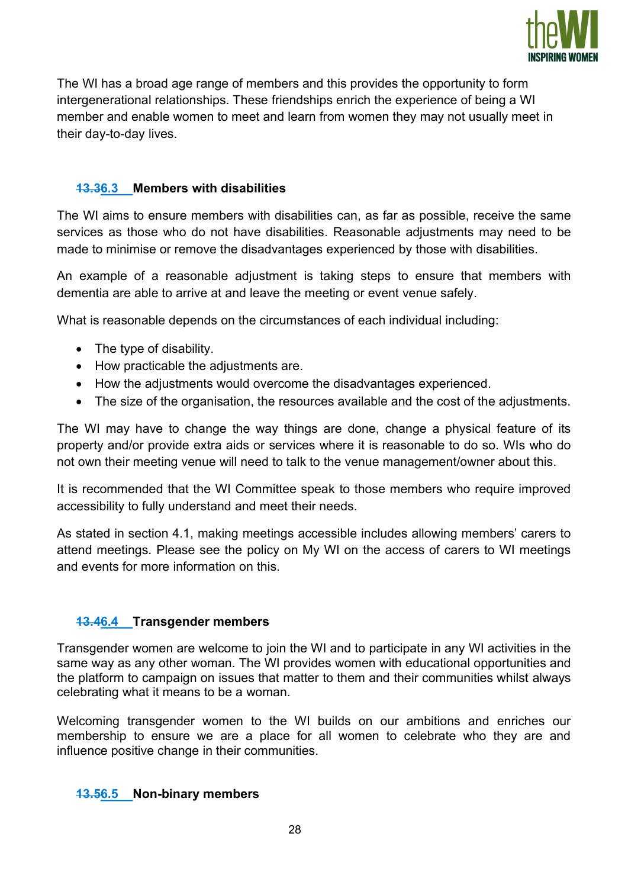

The WI has a broad age range of members and this provides the opportunity to form intergenerational relationships. These friendships enrich the experience of being a WI member and enable women to meet and learn from women they may not usually meet in their day-to-day lives.

### 13.36.3 Members with disabilities

The WI aims to ensure members with disabilities can, as far as possible, receive the same services as those who do not have disabilities. Reasonable adjustments may need to be made to minimise or remove the disadvantages experienced by those with disabilities.

An example of a reasonable adjustment is taking steps to ensure that members with dementia are able to arrive at and leave the meeting or event venue safely.

What is reasonable depends on the circumstances of each individual including:

- The type of disability.
- How practicable the adjustments are.
- How the adjustments would overcome the disadvantages experienced.
- The size of the organisation, the resources available and the cost of the adjustments.

The WI may have to change the way things are done, change a physical feature of its property and/or provide extra aids or services where it is reasonable to do so. WIs who do not own their meeting venue will need to talk to the venue management/owner about this.

It is recommended that the WI Committee speak to those members who require improved accessibility to fully understand and meet their needs.

As stated in section 4.1, making meetings accessible includes allowing members' carers to attend meetings. Please see the policy on My WI on the access of carers to WI meetings and events for more information on this.

#### 13.46.4 Transgender members

Transgender women are welcome to join the WI and to participate in any WI activities in the same way as any other woman. The WI provides women with educational opportunities and the platform to campaign on issues that matter to them and their communities whilst always celebrating what it means to be a woman.

Welcoming transgender women to the WI builds on our ambitions and enriches our membership to ensure we are a place for all women to celebrate who they are and influence positive change in their communities.

#### 13.56.5 Non-binary members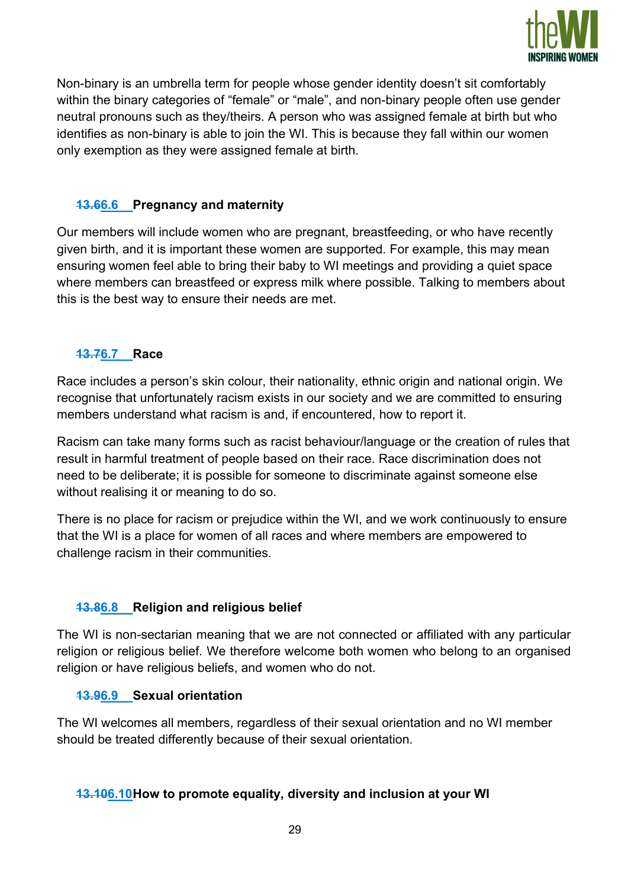

Non-binary is an umbrella term for people whose gender identity doesn't sit comfortably within the binary categories of "female" or "male", and non-binary people often use gender neutral pronouns such as they/theirs. A person who was assigned female at birth but who identifies as non-binary is able to join the WI. This is because they fall within our women only exemption as they were assigned female at birth.

### 13.66.6 Pregnancy and maternity

Our members will include women who are pregnant, breastfeeding, or who have recently given birth, and it is important these women are supported. For example, this may mean ensuring women feel able to bring their baby to WI meetings and providing a quiet space where members can breastfeed or express milk where possible. Talking to members about this is the best way to ensure their needs are met.

## 13.76.7 Race

Race includes a person's skin colour, their nationality, ethnic origin and national origin. We recognise that unfortunately racism exists in our society and we are committed to ensuring members understand what racism is and, if encountered, how to report it.

Racism can take many forms such as racist behaviour/language or the creation of rules that result in harmful treatment of people based on their race. Race discrimination does not need to be deliberate; it is possible for someone to discriminate against someone else without realising it or meaning to do so.

There is no place for racism or prejudice within the WI, and we work continuously to ensure that the WI is a place for women of all races and where members are empowered to challenge racism in their communities.

#### **13.86.8** Religion and religious belief

The WI is non-sectarian meaning that we are not connected or affiliated with any particular religion or religious belief. We therefore welcome both women who belong to an organised religion or have religious beliefs, and women who do not.

#### 13.96.9 Sexual orientation

The WI welcomes all members, regardless of their sexual orientation and no WI member should be treated differently because of their sexual orientation.

#### 13.106.10 How to promote equality, diversity and inclusion at your WI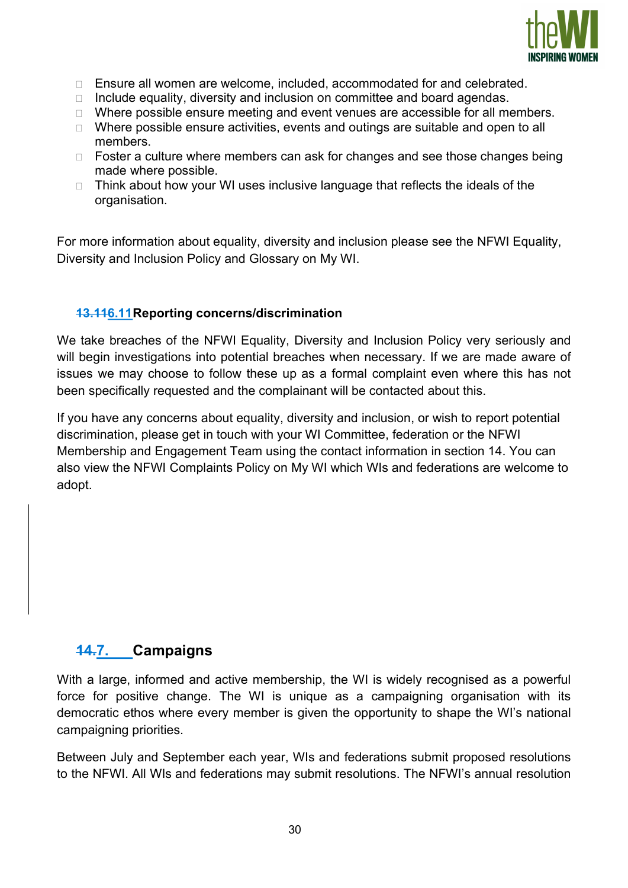

- □ Ensure all women are welcome, included, accommodated for and celebrated.
- $\Box$  Include equality, diversity and inclusion on committee and board agendas.
- □ Where possible ensure meeting and event venues are accessible for all members.
- □ Where possible ensure activities, events and outings are suitable and open to all members.
- $\Box$  Foster a culture where members can ask for changes and see those changes being made where possible.
- $\Box$  Think about how your WI uses inclusive language that reflects the ideals of the organisation.

For more information about equality, diversity and inclusion please see the NFWI Equality, Diversity and Inclusion Policy and Glossary on My WI.

#### 13.116.11 Reporting concerns/discrimination

We take breaches of the NFWI Equality, Diversity and Inclusion Policy very seriously and will begin investigations into potential breaches when necessary. If we are made aware of issues we may choose to follow these up as a formal complaint even where this has not been specifically requested and the complainant will be contacted about this.

If you have any concerns about equality, diversity and inclusion, or wish to report potential discrimination, please get in touch with your WI Committee, federation or the NFWI Membership and Engagement Team using the contact information in section 14. You can also view the NFWI Complaints Policy on My WI which WIs and federations are welcome to adopt.

## 14.7. Campaigns

With a large, informed and active membership, the WI is widely recognised as a powerful force for positive change. The WI is unique as a campaigning organisation with its democratic ethos where every member is given the opportunity to shape the WI's national campaigning priorities.

Between July and September each year, WIs and federations submit proposed resolutions to the NFWI. All WIs and federations may submit resolutions. The NFWI's annual resolution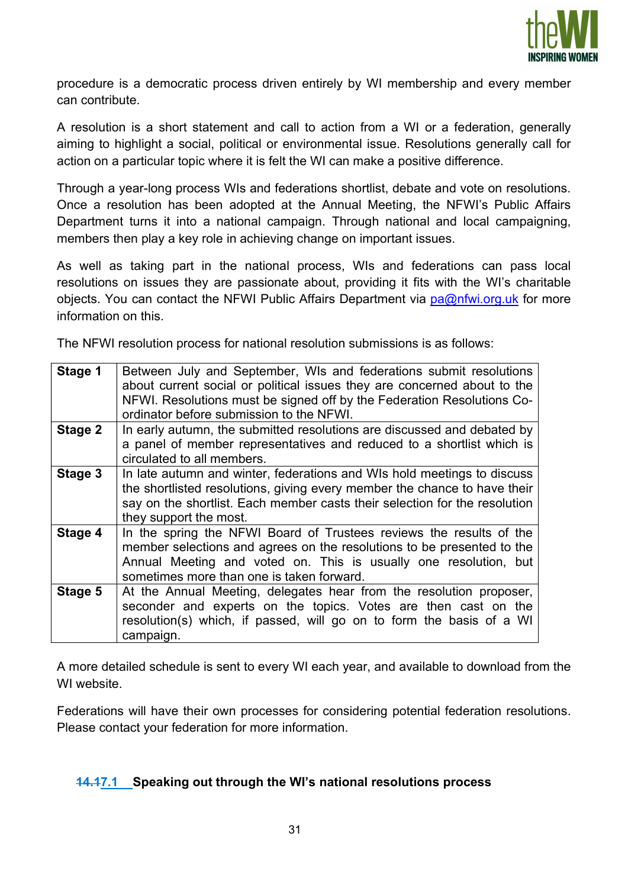

procedure is a democratic process driven entirely by WI membership and every member can contribute.

A resolution is a short statement and call to action from a WI or a federation, generally aiming to highlight a social, political or environmental issue. Resolutions generally call for action on a particular topic where it is felt the WI can make a positive difference.

Through a year-long process WIs and federations shortlist, debate and vote on resolutions. Once a resolution has been adopted at the Annual Meeting, the NFWI's Public Affairs Department turns it into a national campaign. Through national and local campaigning, members then play a key role in achieving change on important issues.

As well as taking part in the national process, WIs and federations can pass local resolutions on issues they are passionate about, providing it fits with the WI's charitable objects. You can contact the NFWI Public Affairs Department via  $pa@nfwi.org.uk$  for more information on this.

The NFWI resolution process for national resolution submissions is as follows:

| Stage 1 | Between July and September, WIs and federations submit resolutions<br>about current social or political issues they are concerned about to the<br>NFWI. Resolutions must be signed off by the Federation Resolutions Co-<br>ordinator before submission to the NFWI. |  |  |
|---------|----------------------------------------------------------------------------------------------------------------------------------------------------------------------------------------------------------------------------------------------------------------------|--|--|
| Stage 2 | In early autumn, the submitted resolutions are discussed and debated by<br>a panel of member representatives and reduced to a shortlist which is<br>circulated to all members.                                                                                       |  |  |
| Stage 3 | In late autumn and winter, federations and WIs hold meetings to discuss<br>the shortlisted resolutions, giving every member the chance to have their<br>say on the shortlist. Each member casts their selection for the resolution<br>they support the most.         |  |  |
| Stage 4 | In the spring the NFWI Board of Trustees reviews the results of the<br>member selections and agrees on the resolutions to be presented to the<br>Annual Meeting and voted on. This is usually one resolution, but<br>sometimes more than one is taken forward.       |  |  |
| Stage 5 | At the Annual Meeting, delegates hear from the resolution proposer,<br>seconder and experts on the topics. Votes are then cast on the<br>resolution(s) which, if passed, will go on to form the basis of a WI<br>campaign.                                           |  |  |

A more detailed schedule is sent to every WI each year, and available to download from the WI website.

Federations will have their own processes for considering potential federation resolutions. Please contact your federation for more information.

#### 14.17.1 Speaking out through the WI's national resolutions process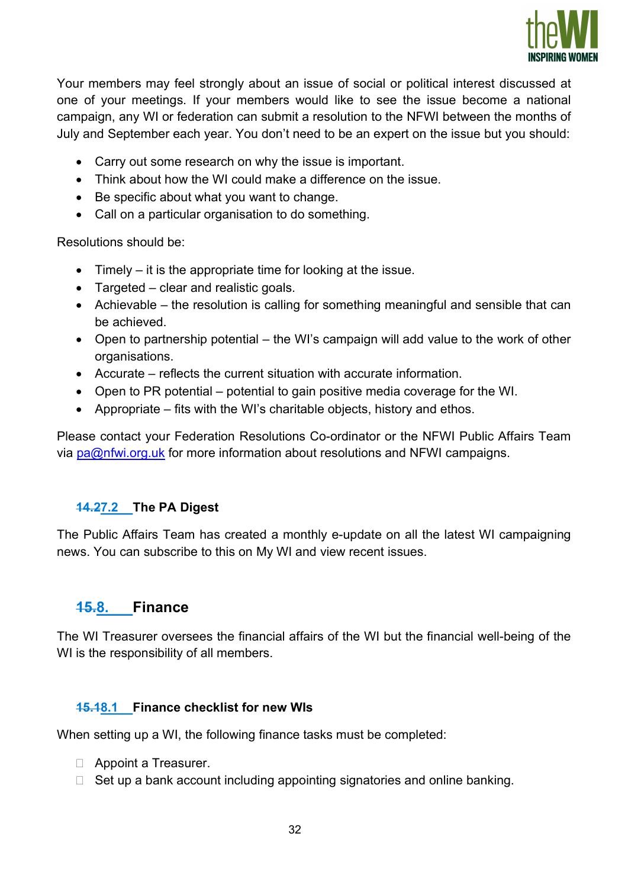

Your members may feel strongly about an issue of social or political interest discussed at one of your meetings. If your members would like to see the issue become a national campaign, any WI or federation can submit a resolution to the NFWI between the months of July and September each year. You don't need to be an expert on the issue but you should:

- Carry out some research on why the issue is important.
- Think about how the WI could make a difference on the issue.
- Be specific about what you want to change.
- Call on a particular organisation to do something.

Resolutions should be:

- $\bullet$  Timely it is the appropriate time for looking at the issue.
- Targeted clear and realistic goals.
- Achievable the resolution is calling for something meaningful and sensible that can be achieved.
- Open to partnership potential the WI's campaign will add value to the work of other organisations.
- Accurate reflects the current situation with accurate information.
- Open to PR potential potential to gain positive media coverage for the WI.
- Appropriate fits with the WI's charitable objects, history and ethos.

Please contact your Federation Resolutions Co-ordinator or the NFWI Public Affairs Team via  $pa@nfwi.org.uk$  for more information about resolutions and NFWI campaigns.

## 14.27.2 The PA Digest

The Public Affairs Team has created a monthly e-update on all the latest WI campaigning news. You can subscribe to this on My WI and view recent issues.

## 15.8. Finance

The WI Treasurer oversees the financial affairs of the WI but the financial well-being of the WI is the responsibility of all members.

#### 15.18.1 Finance checklist for new WIs

When setting up a WI, the following finance tasks must be completed:

- Appoint a Treasurer.
- $\Box$  Set up a bank account including appointing signatories and online banking.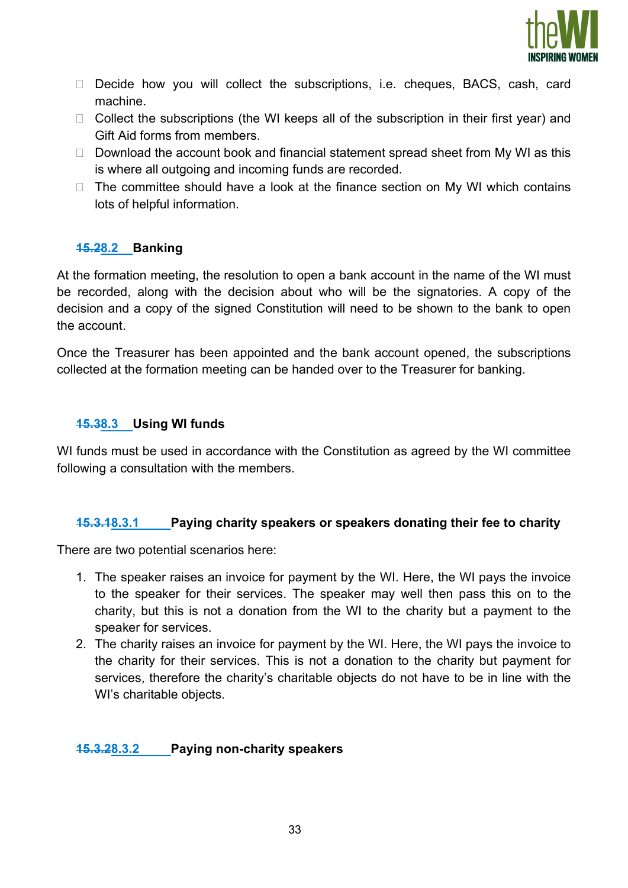

- Decide how you will collect the subscriptions, i.e. cheques, BACS, cash, card machine.
- $\Box$  Collect the subscriptions (the WI keeps all of the subscription in their first year) and Gift Aid forms from members.
- $\Box$  Download the account book and financial statement spread sheet from My WI as this is where all outgoing and incoming funds are recorded.
- $\Box$  The committee should have a look at the finance section on My WI which contains lots of helpful information.

#### 15.28.2 Banking

At the formation meeting, the resolution to open a bank account in the name of the WI must be recorded, along with the decision about who will be the signatories. A copy of the decision and a copy of the signed Constitution will need to be shown to the bank to open the account.

Once the Treasurer has been appointed and the bank account opened, the subscriptions collected at the formation meeting can be handed over to the Treasurer for banking.

#### 15.38.3 Using WI funds

WI funds must be used in accordance with the Constitution as agreed by the WI committee following a consultation with the members.

#### 15.3.18.3.1 Paying charity speakers or speakers donating their fee to charity

There are two potential scenarios here:

- 1. The speaker raises an invoice for payment by the WI. Here, the WI pays the invoice to the speaker for their services. The speaker may well then pass this on to the charity, but this is not a donation from the WI to the charity but a payment to the speaker for services.
- 2. The charity raises an invoice for payment by the WI. Here, the WI pays the invoice to the charity for their services. This is not a donation to the charity but payment for services, therefore the charity's charitable objects do not have to be in line with the WI's charitable objects.

#### 15.3.28.3.2 Paying non-charity speakers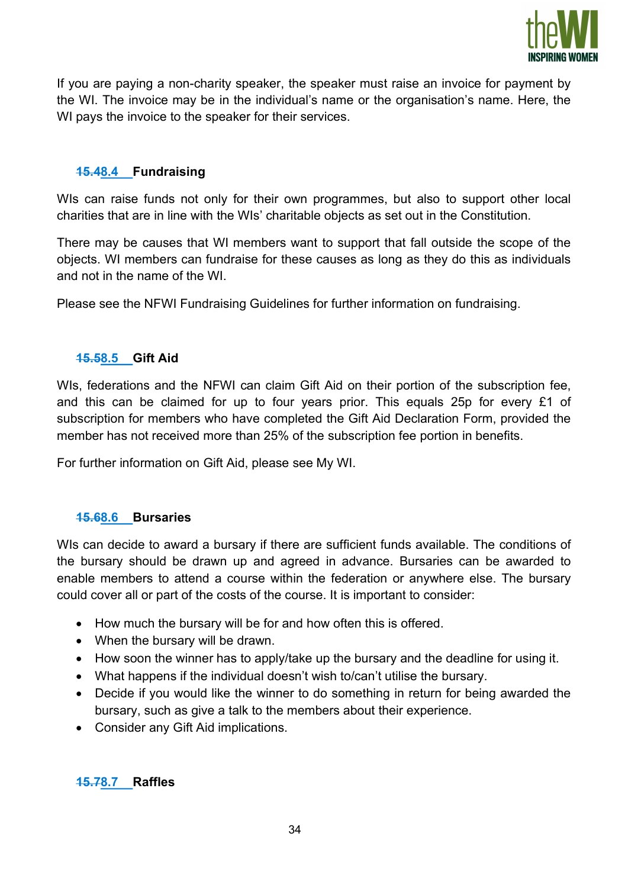

If you are paying a non-charity speaker, the speaker must raise an invoice for payment by the WI. The invoice may be in the individual's name or the organisation's name. Here, the WI pays the invoice to the speaker for their services.

## 15.48.4 Fundraising

WIs can raise funds not only for their own programmes, but also to support other local charities that are in line with the WIs' charitable objects as set out in the Constitution.

There may be causes that WI members want to support that fall outside the scope of the objects. WI members can fundraise for these causes as long as they do this as individuals and not in the name of the WI.

Please see the NFWI Fundraising Guidelines for further information on fundraising.

#### 15.58.5 Gift Aid

WIs, federations and the NFWI can claim Gift Aid on their portion of the subscription fee, and this can be claimed for up to four years prior. This equals 25p for every £1 of subscription for members who have completed the Gift Aid Declaration Form, provided the member has not received more than 25% of the subscription fee portion in benefits.

For further information on Gift Aid, please see My WI.

#### 15.68.6 Bursaries

WIs can decide to award a bursary if there are sufficient funds available. The conditions of the bursary should be drawn up and agreed in advance. Bursaries can be awarded to enable members to attend a course within the federation or anywhere else. The bursary could cover all or part of the costs of the course. It is important to consider:

- How much the bursary will be for and how often this is offered.
- When the bursary will be drawn.
- How soon the winner has to apply/take up the bursary and the deadline for using it.
- What happens if the individual doesn't wish to/can't utilise the bursary.
- Decide if you would like the winner to do something in return for being awarded the bursary, such as give a talk to the members about their experience.
- Consider any Gift Aid implications.

15.78.7 Raffles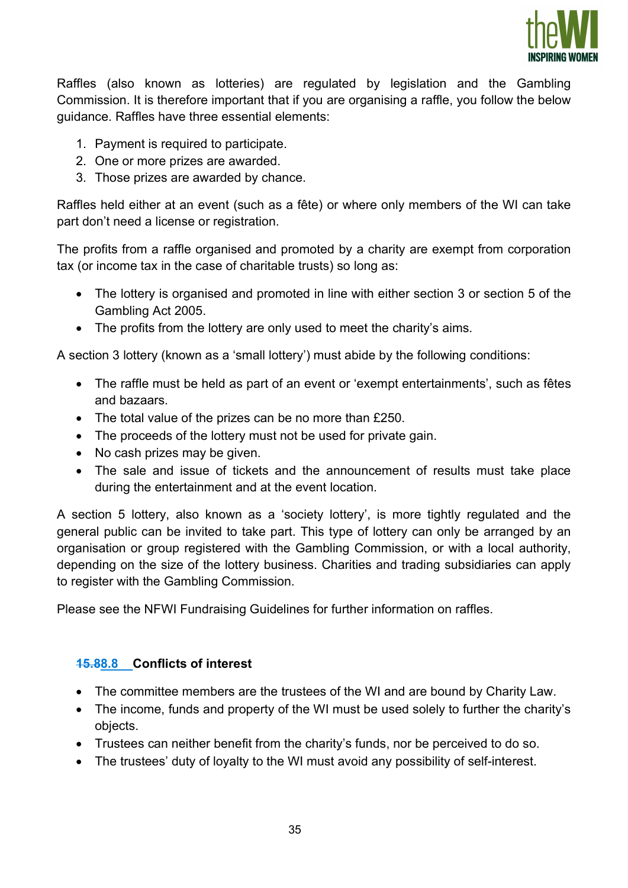

Raffles (also known as lotteries) are regulated by legislation and the Gambling Commission. It is therefore important that if you are organising a raffle, you follow the below guidance. Raffles have three essential elements:

- 1. Payment is required to participate.
- 2. One or more prizes are awarded.
- 3. Those prizes are awarded by chance.

Raffles held either at an event (such as a fête) or where only members of the WI can take part don't need a license or registration.

The profits from a raffle organised and promoted by a charity are exempt from corporation tax (or income tax in the case of charitable trusts) so long as:

- The lottery is organised and promoted in line with either section 3 or section 5 of the Gambling Act 2005.
- The profits from the lottery are only used to meet the charity's aims.

A section 3 lottery (known as a 'small lottery') must abide by the following conditions:

- The raffle must be held as part of an event or 'exempt entertainments', such as fêtes and bazaars.
- The total value of the prizes can be no more than £250.
- The proceeds of the lottery must not be used for private gain.
- No cash prizes may be given.
- The sale and issue of tickets and the announcement of results must take place during the entertainment and at the event location.

A section 5 lottery, also known as a 'society lottery', is more tightly regulated and the general public can be invited to take part. This type of lottery can only be arranged by an organisation or group registered with the Gambling Commission, or with a local authority, depending on the size of the lottery business. Charities and trading subsidiaries can apply to register with the Gambling Commission.

Please see the NFWI Fundraising Guidelines for further information on raffles.

#### 15.88.8 Conflicts of interest

- The committee members are the trustees of the WI and are bound by Charity Law.
- The income, funds and property of the WI must be used solely to further the charity's objects.
- Trustees can neither benefit from the charity's funds, nor be perceived to do so.
- The trustees' duty of loyalty to the WI must avoid any possibility of self-interest.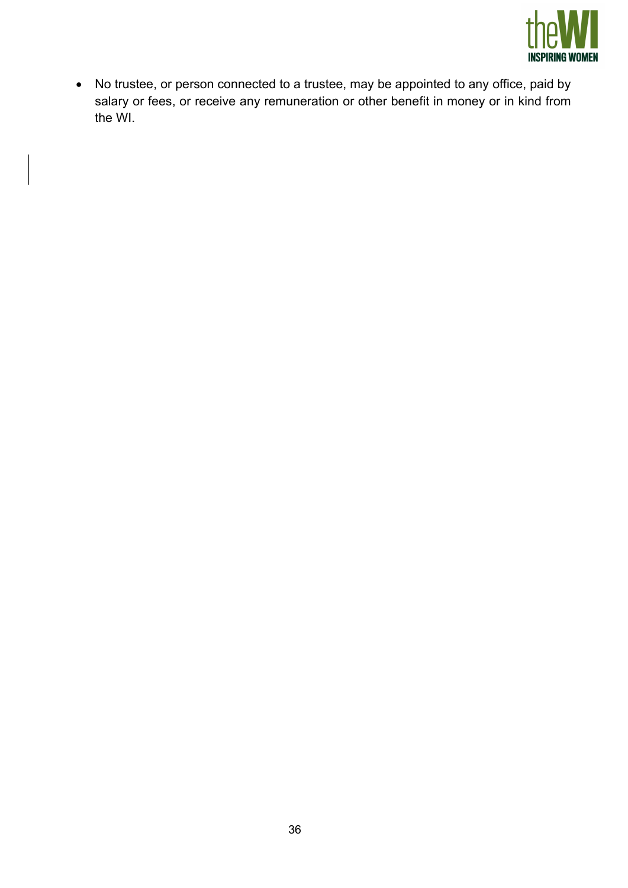

 No trustee, or person connected to a trustee, may be appointed to any office, paid by salary or fees, or receive any remuneration or other benefit in money or in kind from the WI.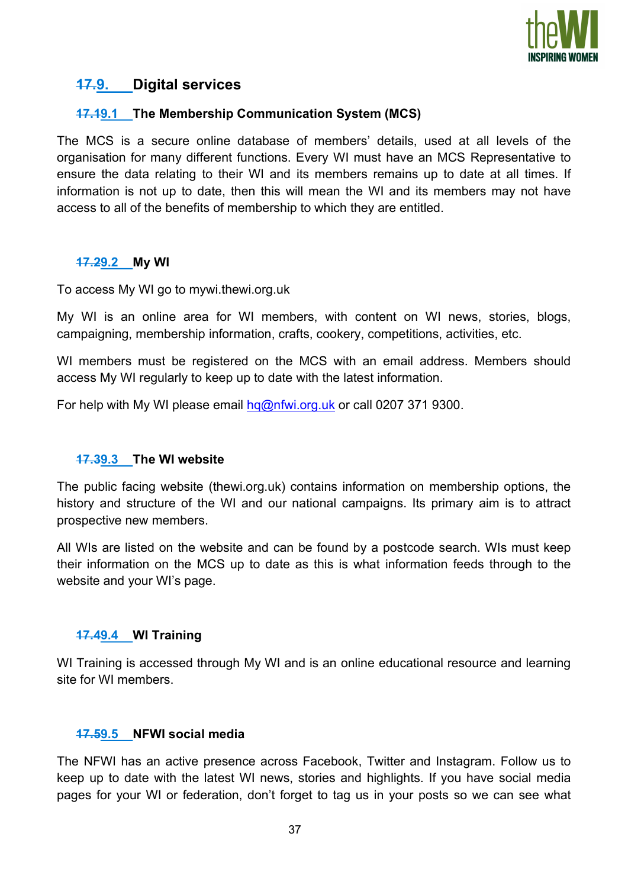

## 17.9. Digital services

### 17.19.1 The Membership Communication System (MCS)

The MCS is a secure online database of members' details, used at all levels of the organisation for many different functions. Every WI must have an MCS Representative to ensure the data relating to their WI and its members remains up to date at all times. If information is not up to date, then this will mean the WI and its members may not have access to all of the benefits of membership to which they are entitled.

#### 17.29.2 My WI

To access My WI go to mywi.thewi.org.uk

My WI is an online area for WI members, with content on WI news, stories, blogs, campaigning, membership information, crafts, cookery, competitions, activities, etc.

WI members must be registered on the MCS with an email address. Members should access My WI regularly to keep up to date with the latest information.

For help with My WI please email hq@nfwi.org.uk or call 0207 371 9300.

#### 17.39.3 The WI website

The public facing website (thewi.org.uk) contains information on membership options, the history and structure of the WI and our national campaigns. Its primary aim is to attract prospective new members.

All WIs are listed on the website and can be found by a postcode search. WIs must keep their information on the MCS up to date as this is what information feeds through to the website and your WI's page.

#### 17.49.4 WI Training

WI Training is accessed through My WI and is an online educational resource and learning site for WI members.

#### 17.59.5 NFWI social media

The NFWI has an active presence across Facebook, Twitter and Instagram. Follow us to keep up to date with the latest WI news, stories and highlights. If you have social media pages for your WI or federation, don't forget to tag us in your posts so we can see what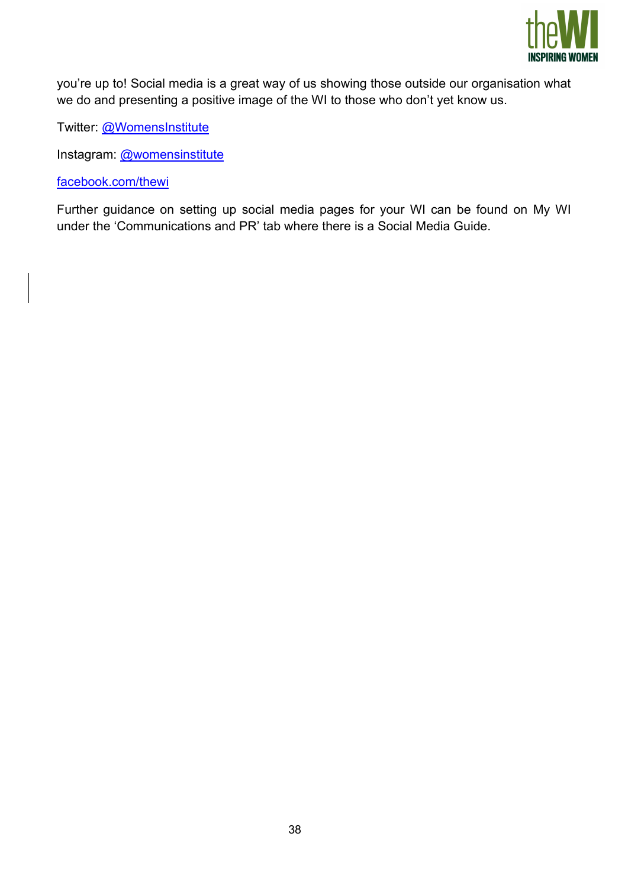

you're up to! Social media is a great way of us showing those outside our organisation what we do and presenting a positive image of the WI to those who don't yet know us.

Twitter: @WomensInstitute

Instagram: @womensinstitute

facebook.com/thewi

Further guidance on setting up social media pages for your WI can be found on My WI under the 'Communications and PR' tab where there is a Social Media Guide.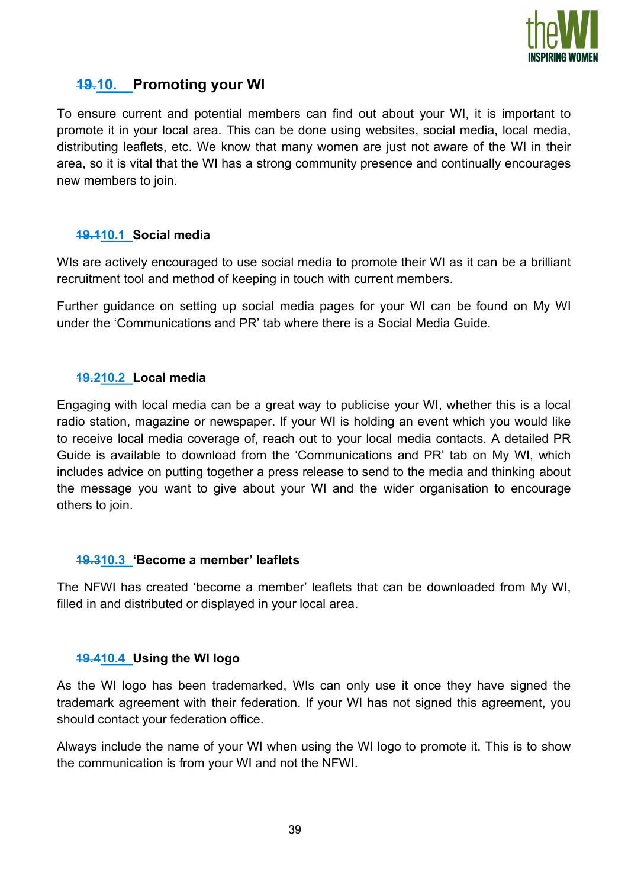

# 19.10. Promoting your WI

To ensure current and potential members can find out about your WI, it is important to promote it in your local area. This can be done using websites, social media, local media, distributing leaflets, etc. We know that many women are just not aware of the WI in their area, so it is vital that the WI has a strong community presence and continually encourages new members to join.

#### 19.110.1 Social media

WIs are actively encouraged to use social media to promote their WI as it can be a brilliant recruitment tool and method of keeping in touch with current members.

Further guidance on setting up social media pages for your WI can be found on My WI under the 'Communications and PR' tab where there is a Social Media Guide.

#### 19.210.2 Local media

Engaging with local media can be a great way to publicise your WI, whether this is a local radio station, magazine or newspaper. If your WI is holding an event which you would like to receive local media coverage of, reach out to your local media contacts. A detailed PR Guide is available to download from the 'Communications and PR' tab on My WI, which includes advice on putting together a press release to send to the media and thinking about the message you want to give about your WI and the wider organisation to encourage others to join.

#### 19.310.3 'Become a member' leaflets

The NFWI has created 'become a member' leaflets that can be downloaded from My WI, filled in and distributed or displayed in your local area.

#### 19.410.4 Using the WI logo

As the WI logo has been trademarked, WIs can only use it once they have signed the trademark agreement with their federation. If your WI has not signed this agreement, you should contact your federation office.

Always include the name of your WI when using the WI logo to promote it. This is to show the communication is from your WI and not the NFWI.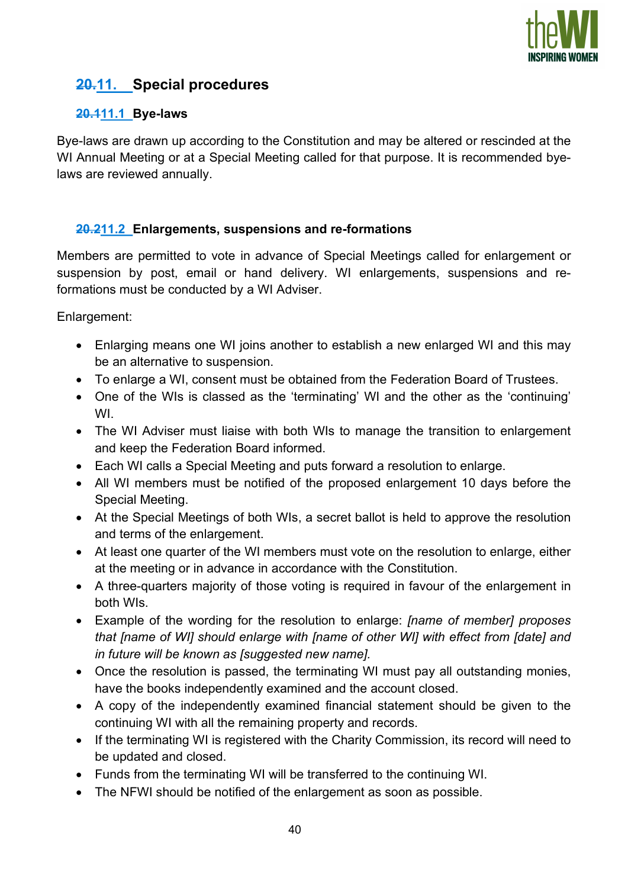

# 20.11. Special procedures

## 20.111.1 Bye-laws

Bye-laws are drawn up according to the Constitution and may be altered or rescinded at the WI Annual Meeting or at a Special Meeting called for that purpose. It is recommended byelaws are reviewed annually.

## 20.211.2 Enlargements, suspensions and re-formations

Members are permitted to vote in advance of Special Meetings called for enlargement or suspension by post, email or hand delivery. WI enlargements, suspensions and reformations must be conducted by a WI Adviser.

Enlargement:

- Enlarging means one WI joins another to establish a new enlarged WI and this may be an alternative to suspension.
- To enlarge a WI, consent must be obtained from the Federation Board of Trustees.
- One of the WIs is classed as the 'terminating' WI and the other as the 'continuing' WI.
- The WI Adviser must liaise with both WIs to manage the transition to enlargement and keep the Federation Board informed.
- Each WI calls a Special Meeting and puts forward a resolution to enlarge.
- All WI members must be notified of the proposed enlargement 10 days before the Special Meeting.
- At the Special Meetings of both WIs, a secret ballot is held to approve the resolution and terms of the enlargement.
- At least one quarter of the WI members must vote on the resolution to enlarge, either at the meeting or in advance in accordance with the Constitution.
- A three-quarters majority of those voting is required in favour of the enlargement in both WIs.
- Example of the wording for the resolution to enlarge: *[name of member] proposes* that [name of WI] should enlarge with [name of other WI] with effect from [date] and in future will be known as [suggested new name].
- Once the resolution is passed, the terminating WI must pay all outstanding monies, have the books independently examined and the account closed.
- A copy of the independently examined financial statement should be given to the continuing WI with all the remaining property and records.
- If the terminating WI is registered with the Charity Commission, its record will need to be updated and closed.
- Funds from the terminating WI will be transferred to the continuing WI.
- The NFWI should be notified of the enlargement as soon as possible.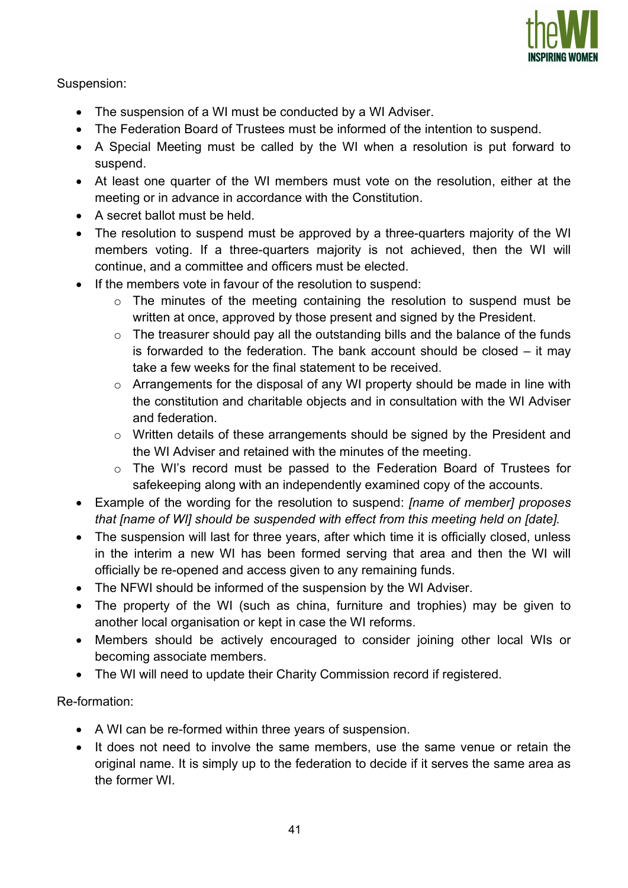

#### Suspension:

- The suspension of a WI must be conducted by a WI Adviser.
- The Federation Board of Trustees must be informed of the intention to suspend.
- A Special Meeting must be called by the WI when a resolution is put forward to suspend.
- At least one quarter of the WI members must vote on the resolution, either at the meeting or in advance in accordance with the Constitution.
- A secret ballot must be held.
- The resolution to suspend must be approved by a three-quarters majority of the WI members voting. If a three-quarters majority is not achieved, then the WI will continue, and a committee and officers must be elected.
- If the members vote in favour of the resolution to suspend:
	- o The minutes of the meeting containing the resolution to suspend must be written at once, approved by those present and signed by the President.
	- o The treasurer should pay all the outstanding bills and the balance of the funds is forwarded to the federation. The bank account should be closed – it may take a few weeks for the final statement to be received.
	- o Arrangements for the disposal of any WI property should be made in line with the constitution and charitable objects and in consultation with the WI Adviser and federation.
	- o Written details of these arrangements should be signed by the President and the WI Adviser and retained with the minutes of the meeting.
	- o The WI's record must be passed to the Federation Board of Trustees for safekeeping along with an independently examined copy of the accounts.
- Example of the wording for the resolution to suspend: *[name of member] proposes* that [name of WI] should be suspended with effect from this meeting held on [date].
- The suspension will last for three vears, after which time it is officially closed, unless in the interim a new WI has been formed serving that area and then the WI will officially be re-opened and access given to any remaining funds.
- The NFWI should be informed of the suspension by the WI Adviser.
- The property of the WI (such as china, furniture and trophies) may be given to another local organisation or kept in case the WI reforms.
- Members should be actively encouraged to consider joining other local WIs or becoming associate members.
- The WI will need to update their Charity Commission record if registered.

Re-formation:

- A WI can be re-formed within three years of suspension.
- It does not need to involve the same members, use the same venue or retain the original name. It is simply up to the federation to decide if it serves the same area as the former WI.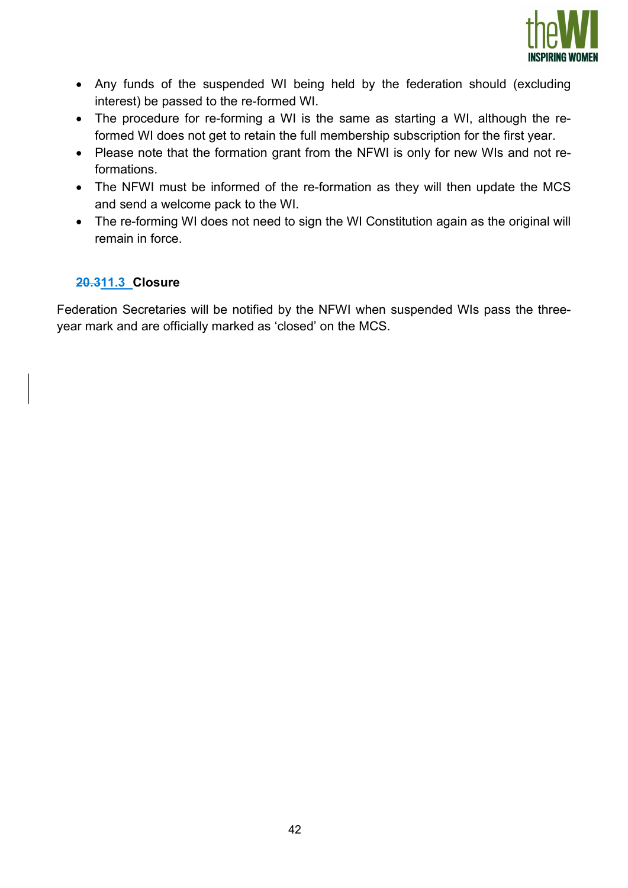

- Any funds of the suspended WI being held by the federation should (excluding interest) be passed to the re-formed WI.
- The procedure for re-forming a WI is the same as starting a WI, although the reformed WI does not get to retain the full membership subscription for the first year.
- Please note that the formation grant from the NFWI is only for new WIs and not reformations.
- The NFWI must be informed of the re-formation as they will then update the MCS and send a welcome pack to the WI.
- The re-forming WI does not need to sign the WI Constitution again as the original will remain in force.

## 20.311.3 Closure

Federation Secretaries will be notified by the NFWI when suspended WIs pass the threeyear mark and are officially marked as 'closed' on the MCS.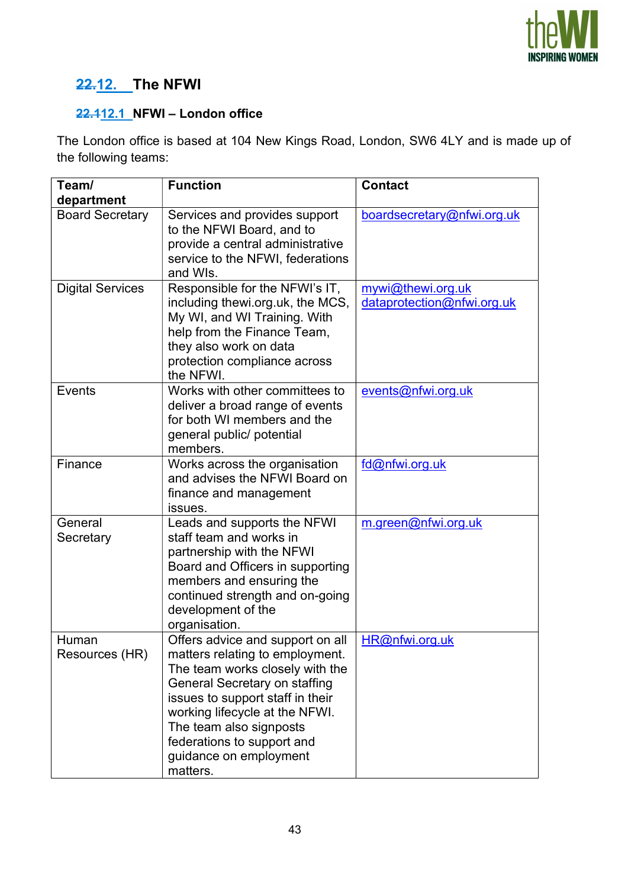

# 22.12. The NFWI

## 22.112.1 NFWI – London office

The London office is based at 104 New Kings Road, London, SW6 4LY and is made up of the following teams:

| Team/<br>department     | <b>Function</b>                                                                                                                                                                                                                                                                                              | <b>Contact</b>                                  |
|-------------------------|--------------------------------------------------------------------------------------------------------------------------------------------------------------------------------------------------------------------------------------------------------------------------------------------------------------|-------------------------------------------------|
| <b>Board Secretary</b>  | Services and provides support<br>to the NFWI Board, and to<br>provide a central administrative<br>service to the NFWI, federations<br>and WIs.                                                                                                                                                               | boardsecretary@nfwi.org.uk                      |
| <b>Digital Services</b> | Responsible for the NFWI's IT,<br>including thewi.org.uk, the MCS,<br>My WI, and WI Training. With<br>help from the Finance Team,<br>they also work on data<br>protection compliance across<br>the NFWI.                                                                                                     | mywi@thewi.org.uk<br>dataprotection@nfwi.org.uk |
| <b>Events</b>           | Works with other committees to<br>deliver a broad range of events<br>for both WI members and the<br>general public/ potential<br>members.                                                                                                                                                                    | events@nfwi.org.uk                              |
| Finance                 | Works across the organisation<br>and advises the NFWI Board on<br>finance and management<br>issues.                                                                                                                                                                                                          | fd@nfwi.org.uk                                  |
| General<br>Secretary    | Leads and supports the NFWI<br>staff team and works in<br>partnership with the NFWI<br>Board and Officers in supporting<br>members and ensuring the<br>continued strength and on-going<br>development of the<br>organisation.                                                                                | m.green@nfwi.org.uk                             |
| Human<br>Resources (HR) | Offers advice and support on all<br>matters relating to employment.<br>The team works closely with the<br>General Secretary on staffing<br>issues to support staff in their<br>working lifecycle at the NFWI.<br>The team also signposts<br>federations to support and<br>guidance on employment<br>matters. | HR@nfwi.org.uk                                  |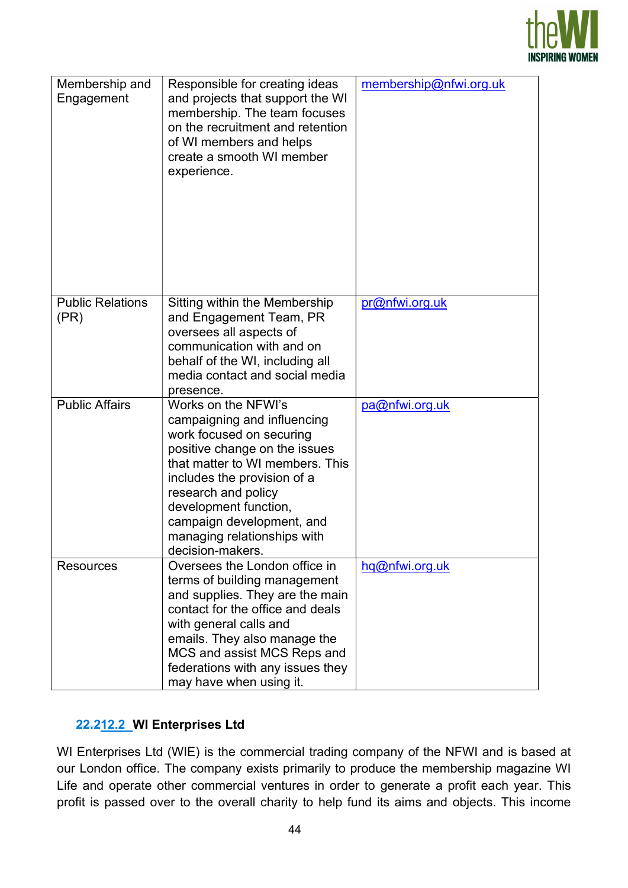

| Membership and<br>Engagement    | Responsible for creating ideas<br>and projects that support the WI<br>membership. The team focuses<br>on the recruitment and retention<br>of WI members and helps<br>create a smooth WI member<br>experience.                                                                                                     | membership@nfwi.org.uk |
|---------------------------------|-------------------------------------------------------------------------------------------------------------------------------------------------------------------------------------------------------------------------------------------------------------------------------------------------------------------|------------------------|
| <b>Public Relations</b><br>(PR) | Sitting within the Membership<br>and Engagement Team, PR<br>oversees all aspects of<br>communication with and on<br>behalf of the WI, including all<br>media contact and social media<br>presence.                                                                                                                | pr@nfwi.org.uk         |
| <b>Public Affairs</b>           | Works on the NFWI's<br>campaigning and influencing<br>work focused on securing<br>positive change on the issues<br>that matter to WI members. This<br>includes the provision of a<br>research and policy<br>development function,<br>campaign development, and<br>managing relationships with<br>decision-makers. | pa@nfwi.org.uk         |
| Resources                       | Oversees the London office in<br>terms of building management<br>and supplies. They are the main<br>contact for the office and deals<br>with general calls and<br>emails. They also manage the<br>MCS and assist MCS Reps and<br>federations with any issues they<br>may have when using it.                      | hq@nfwi.org.uk         |

## 22.212.2 WI Enterprises Ltd

WI Enterprises Ltd (WIE) is the commercial trading company of the NFWI and is based at our London office. The company exists primarily to produce the membership magazine WI Life and operate other commercial ventures in order to generate a profit each year. This profit is passed over to the overall charity to help fund its aims and objects. This income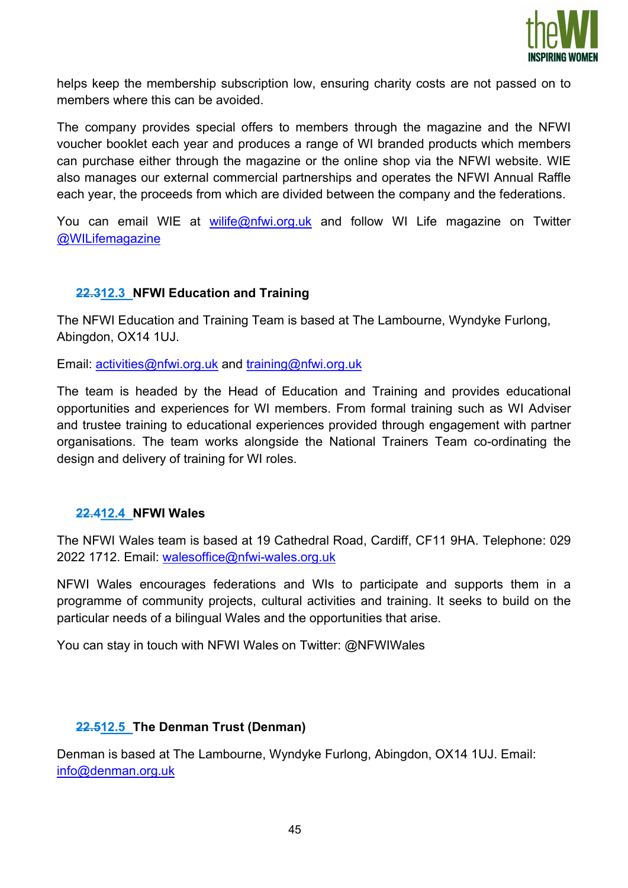

helps keep the membership subscription low, ensuring charity costs are not passed on to members where this can be avoided.

The company provides special offers to members through the magazine and the NFWI voucher booklet each year and produces a range of WI branded products which members can purchase either through the magazine or the online shop via the NFWI website. WIE also manages our external commercial partnerships and operates the NFWI Annual Raffle each year, the proceeds from which are divided between the company and the federations.

You can email WIE at wilife@nfwi.org.uk and follow WI Life magazine on Twitter @WILifemagazine

## 22.312.3 NFWI Education and Training

The NFWI Education and Training Team is based at The Lambourne, Wyndyke Furlong, Abingdon, OX14 1UJ.

Email: activities@nfwi.org.uk and training@nfwi.org.uk

The team is headed by the Head of Education and Training and provides educational opportunities and experiences for WI members. From formal training such as WI Adviser and trustee training to educational experiences provided through engagement with partner organisations. The team works alongside the National Trainers Team co-ordinating the design and delivery of training for WI roles.

#### 22.412.4 NFWI Wales

The NFWI Wales team is based at 19 Cathedral Road, Cardiff, CF11 9HA. Telephone: 029 2022 1712. Email: walesoffice@nfwi-wales.org.uk

NFWI Wales encourages federations and WIs to participate and supports them in a programme of community projects, cultural activities and training. It seeks to build on the particular needs of a bilingual Wales and the opportunities that arise.

You can stay in touch with NFWI Wales on Twitter: @NFWIWales

#### 22.512.5 The Denman Trust (Denman)

Denman is based at The Lambourne, Wyndyke Furlong, Abingdon, OX14 1UJ. Email: info@denman.org.uk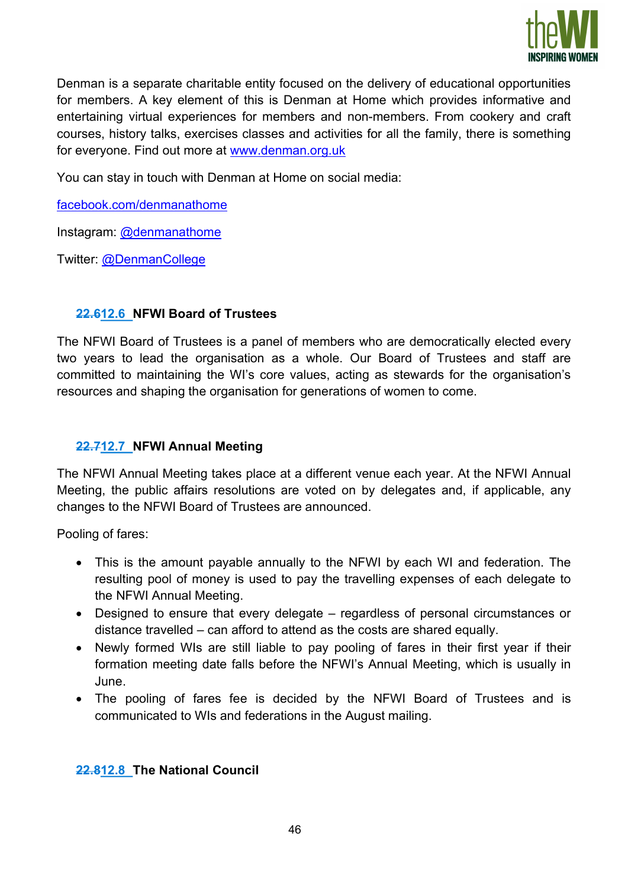

Denman is a separate charitable entity focused on the delivery of educational opportunities for members. A key element of this is Denman at Home which provides informative and entertaining virtual experiences for members and non-members. From cookery and craft courses, history talks, exercises classes and activities for all the family, there is something for everyone. Find out more at www.denman.org.uk

You can stay in touch with Denman at Home on social media:

facebook.com/denmanathome

Instagram: @denmanathome

Twitter: @DenmanCollege

## 22.612.6 NFWI Board of Trustees

The NFWI Board of Trustees is a panel of members who are democratically elected every two years to lead the organisation as a whole. Our Board of Trustees and staff are committed to maintaining the WI's core values, acting as stewards for the organisation's resources and shaping the organisation for generations of women to come.

## 22.712.7 NFWI Annual Meeting

The NFWI Annual Meeting takes place at a different venue each year. At the NFWI Annual Meeting, the public affairs resolutions are voted on by delegates and, if applicable, any changes to the NFWI Board of Trustees are announced.

Pooling of fares:

- This is the amount payable annually to the NFWI by each WI and federation. The resulting pool of money is used to pay the travelling expenses of each delegate to the NFWI Annual Meeting.
- Designed to ensure that every delegate regardless of personal circumstances or distance travelled – can afford to attend as the costs are shared equally.
- Newly formed WIs are still liable to pay pooling of fares in their first year if their formation meeting date falls before the NFWI's Annual Meeting, which is usually in June.
- The pooling of fares fee is decided by the NFWI Board of Trustees and is communicated to WIs and federations in the August mailing.

## 22.812.8 The National Council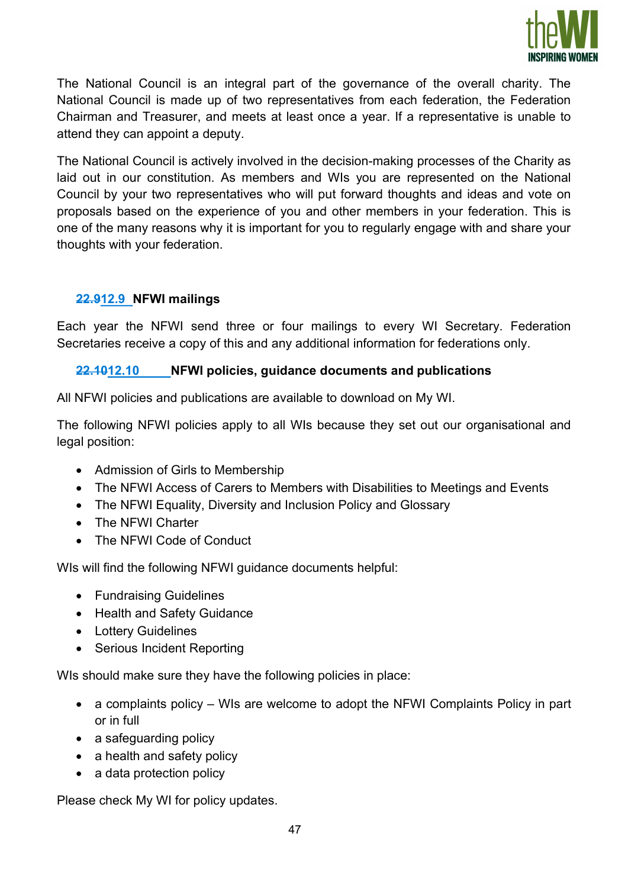

The National Council is an integral part of the governance of the overall charity. The National Council is made up of two representatives from each federation, the Federation Chairman and Treasurer, and meets at least once a year. If a representative is unable to attend they can appoint a deputy.

The National Council is actively involved in the decision-making processes of the Charity as laid out in our constitution. As members and WIs you are represented on the National Council by your two representatives who will put forward thoughts and ideas and vote on proposals based on the experience of you and other members in your federation. This is one of the many reasons why it is important for you to regularly engage with and share your thoughts with your federation.

## 22.912.9 NFWI mailings

Each year the NFWI send three or four mailings to every WI Secretary. Federation Secretaries receive a copy of this and any additional information for federations only.

#### 22.1012.10 NFWI policies, guidance documents and publications

All NFWI policies and publications are available to download on My WI.

The following NFWI policies apply to all WIs because they set out our organisational and legal position:

- Admission of Girls to Membership
- The NFWI Access of Carers to Members with Disabilities to Meetings and Events
- The NFWI Equality, Diversity and Inclusion Policy and Glossary
- The NFWI Charter
- The NFWI Code of Conduct

WIs will find the following NFWI guidance documents helpful:

- Fundraising Guidelines
- Health and Safety Guidance
- Lottery Guidelines
- Serious Incident Reporting

WIs should make sure they have the following policies in place:

- a complaints policy WIs are welcome to adopt the NFWI Complaints Policy in part or in full
- a safeguarding policy
- a health and safety policy
- a data protection policy

Please check My WI for policy updates.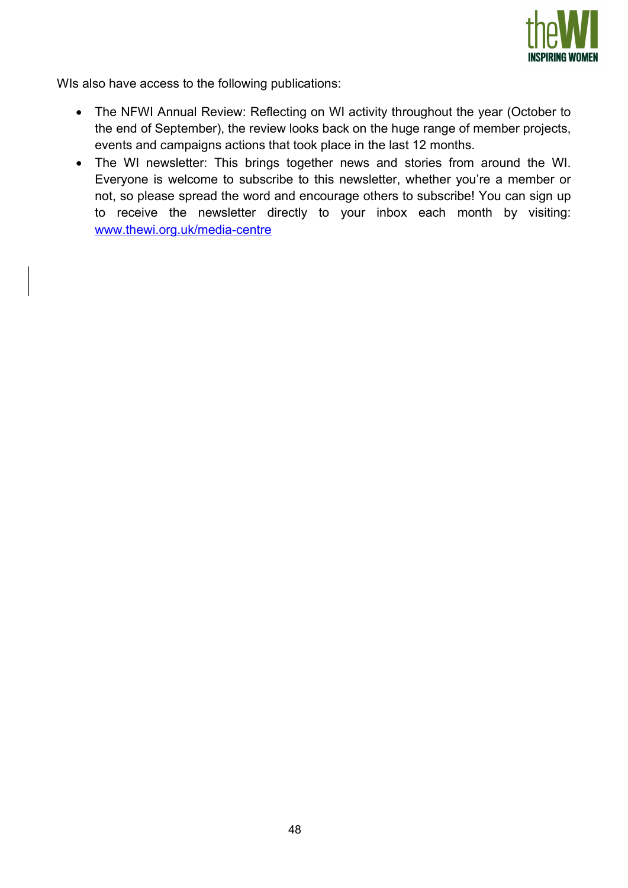

WIs also have access to the following publications:

- The NFWI Annual Review: Reflecting on WI activity throughout the year (October to the end of September), the review looks back on the huge range of member projects, events and campaigns actions that took place in the last 12 months.
- The WI newsletter: This brings together news and stories from around the WI. Everyone is welcome to subscribe to this newsletter, whether you're a member or not, so please spread the word and encourage others to subscribe! You can sign up to receive the newsletter directly to your inbox each month by visiting: www.thewi.org.uk/media-centre